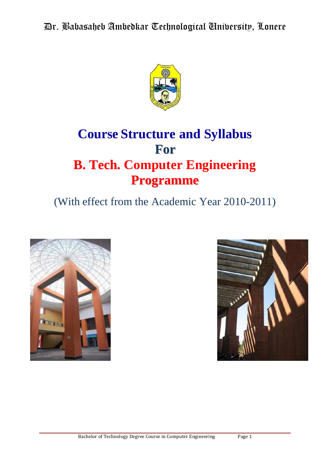

# **Course Structure and Syllabus For B. Tech. Computer Engineering Programme**

# (With effect from the Academic Year 2010-2011)



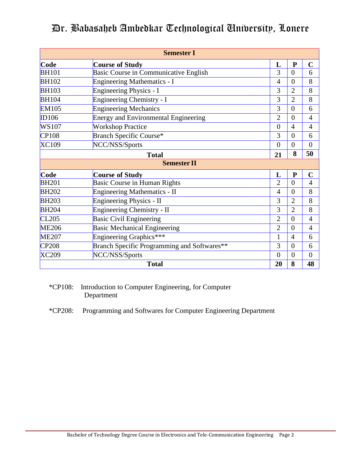|              | <b>Semester I</b>                           |                |                |                |
|--------------|---------------------------------------------|----------------|----------------|----------------|
| Code         | <b>Course of Study</b>                      | L              | $\mathbf{P}$   | $\mathbf C$    |
| <b>BH101</b> | Basic Course in Communicative English       | 3              | $\theta$       | 6              |
| <b>BH102</b> | Engineering Mathematics - I                 | $\overline{4}$ | $\theta$       | 8              |
| <b>BH103</b> | Engineering Physics - I                     | 3              | $\overline{2}$ | 8              |
| <b>BH104</b> | Engineering Chemistry - I                   | 3              | $\overline{2}$ | 8              |
| <b>EM105</b> | <b>Engineering Mechanics</b>                | 3              | $\theta$       | 6              |
| ID106        | <b>Energy and Environmental Engineering</b> | $\overline{2}$ | $\theta$       | $\overline{4}$ |
| <b>WS107</b> | <b>Workshop Practice</b>                    | $\overline{0}$ | $\overline{4}$ | $\overline{4}$ |
| CP108        | Branch Specific Course*                     | 3              | $\overline{0}$ | 6              |
| <b>XC109</b> | NCC/NSS/Sports                              | $\overline{0}$ | $\overline{0}$ | $\overline{0}$ |
|              | <b>Total</b>                                | 21             | 8              | 50             |
|              | <b>Semester II</b>                          |                |                |                |
| Code         | <b>Course of Study</b>                      | L              | ${\bf P}$      | $\mathbf C$    |
| <b>BH201</b> | <b>Basic Course in Human Rights</b>         | $\overline{2}$ | $\theta$       | $\overline{4}$ |
| <b>BH202</b> | Engineering Mathematics - II                | $\overline{4}$ | $\theta$       | 8              |
| <b>BH203</b> | Engineering Physics - II                    | 3              | $\overline{2}$ | 8              |
| <b>BH204</b> | Engineering Chemistry - II                  | 3              | $\overline{2}$ | 8              |
| CL205        | <b>Basic Civil Engineering</b>              | $\overline{2}$ | $\overline{0}$ | $\overline{4}$ |
| <b>ME206</b> | <b>Basic Mechanical Engineering</b>         | $\overline{2}$ | $\overline{0}$ | $\overline{4}$ |
| <b>ME207</b> | Engineering Graphics***                     | 1              | $\overline{4}$ | 6              |
| <b>CP208</b> | Branch Specific Programming and Softwares** | 3              | $\theta$       | 6              |
| <b>XC209</b> | NCC/NSS/Sports                              | $\overline{0}$ | $\overline{0}$ | $\overline{0}$ |
|              | <b>Total</b>                                | 20             | 8              | 48             |

\*CP108: Introduction to Computer Engineering, for Computer Department

\*CP208: Programming and Softwares for Computer Engineering Department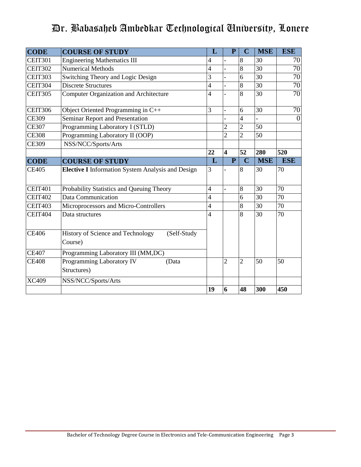| <b>CODE</b>                  | <b>COURSE OF STUDY</b>                                      | L              | $\mathbf{P}$            | $\overline{C}$ | <b>MSE</b>      | <b>ESE</b>      |
|------------------------------|-------------------------------------------------------------|----------------|-------------------------|----------------|-----------------|-----------------|
| <b>CEIT301</b>               | <b>Engineering Mathematics III</b>                          | 4              |                         | 8              | 30              | 70              |
| $\overline{\text{CEIT}}$ 302 | <b>Numerical Methods</b>                                    | $\overline{4}$ | $\overline{a}$          | 8              | $\overline{30}$ | $\overline{70}$ |
| CEIT303                      | Switching Theory and Logic Design                           | 3              |                         | 6              | $\overline{30}$ | $\overline{70}$ |
| CEIT304                      | <b>Discrete Structures</b>                                  | $\overline{4}$ |                         | 8              | 30              | 70              |
| <b>CEIT305</b>               | <b>Computer Organization and Architecture</b>               | $\overline{4}$ |                         | 8              | 30              | 70              |
| <b>CEIT306</b>               | Object Oriented Programming in C++                          | 3              | $\overline{a}$          | 6              | 30              | 70              |
| <b>CE309</b>                 | Seminar Report and Presentation                             |                |                         | $\overline{4}$ |                 | $\theta$        |
| <b>CE307</b>                 | Programming Laboratory I (STLD)                             |                | $\overline{2}$          | $\overline{2}$ | 50              |                 |
| <b>CE308</b>                 | Programming Laboratory II (OOP)                             |                | $\overline{2}$          | $\overline{2}$ | 50              |                 |
| <b>CE309</b>                 | NSS/NCC/Sports/Arts                                         |                |                         |                |                 |                 |
|                              |                                                             | 22             | $\overline{\mathbf{4}}$ | 52             | 280             | 520             |
| <b>CODE</b>                  | <b>COURSE OF STUDY</b>                                      | L              | $\mathbf{P}$            | $\overline{C}$ | <b>MSE</b>      | <b>ESE</b>      |
| <b>CE405</b>                 | <b>Elective I</b> Information System Analysis and Design    | 3              |                         | 8              | 30              | 70              |
| <b>CEIT401</b>               | Probability Statistics and Queuing Theory                   | $\overline{4}$ |                         | 8              | 30              | 70              |
| <b>CEIT402</b>               | <b>Data Communication</b>                                   | $\overline{4}$ |                         | 6              | 30              | 70              |
| <b>CEIT403</b>               | Microprocessors and Micro-Controllers                       | $\overline{4}$ |                         | 8              | 30              | 70              |
| CEIT404                      | Data structures                                             | $\overline{4}$ |                         | 8              | $\overline{30}$ | $\overline{70}$ |
| <b>CE406</b>                 | History of Science and Technology<br>(Self-Study<br>Course) |                |                         |                |                 |                 |
| <b>CE407</b>                 | Programming Laboratory III (MM,DC)                          |                |                         |                |                 |                 |
| <b>CE408</b>                 | Programming Laboratory IV<br>(Data<br>Structures)           |                | $\overline{2}$          | $\overline{2}$ | 50              | 50              |
| <b>XC409</b>                 | NSS/NCC/Sports/Arts                                         |                |                         |                |                 |                 |
|                              |                                                             | 19             | 6                       | 48             | 300             | 450             |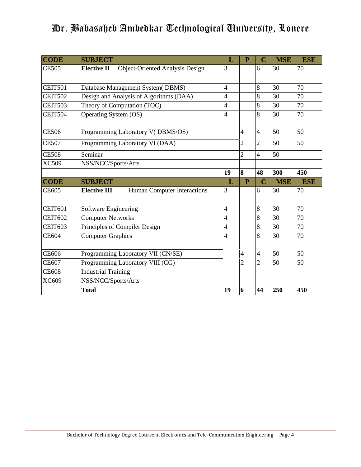| <b>CODE</b>    | <b>SUBJECT</b>                                               | L                        | $\mathbf{P}$   | $\overline{\mathbf{C}}$ | <b>MSE</b>      | <b>ESE</b> |
|----------------|--------------------------------------------------------------|--------------------------|----------------|-------------------------|-----------------|------------|
| <b>CE505</b>   | <b>Elective II</b><br><b>Object-Oriented Analysis Design</b> | 3                        |                | 6                       | 30              | 70         |
|                |                                                              |                          |                |                         |                 |            |
| <b>CEIT501</b> | Database Management System(DBMS)                             | 4                        |                | 8                       | 30              | 70         |
| <b>CEIT502</b> | Design and Analysis of Algorithms (DAA)                      | 4                        |                | $\overline{8}$          | 30              | 70         |
| <b>CEIT503</b> | Theory of Computation (TOC)                                  | $\overline{\mathcal{L}}$ |                | 8                       | 30              | 70         |
| CEIT504        | Operating System (OS)                                        | 4                        |                | 8                       | 30              | 70         |
|                |                                                              |                          |                |                         |                 |            |
| <b>CE506</b>   | Programming Laboratory V(DBMS/OS)                            |                          | 4              | $\overline{4}$          | 50              | 50         |
| <b>CE507</b>   | Programming Laboratory VI (DAA)                              |                          | 2              | 2                       | 50              | 50         |
| <b>CE508</b>   | Seminar                                                      |                          | $\overline{2}$ | $\overline{4}$          | $\overline{50}$ |            |
| <b>XC509</b>   | NSS/NCC/Sports/Arts                                          |                          |                |                         |                 |            |
|                |                                                              | 19                       | 8              | 48                      | 300             | 450        |
| <b>CODE</b>    | <b>SUBJECT</b>                                               | L                        | P              | Ċ                       | <b>MSE</b>      | <b>ESE</b> |
| <b>CE605</b>   | <b>Elective III</b><br>Human Computer Interactions           | 3                        |                | 6                       | 30              | 70         |
|                |                                                              |                          |                |                         |                 |            |
| <b>CEIT601</b> | Software Engineering                                         | 4                        |                | 8                       | 30              | 70         |
| <b>CEIT602</b> | <b>Computer Networks</b>                                     | 4                        |                | 8                       | 30              | 70         |
| <b>CEIT603</b> | Principles of Compiler Design                                | 4                        |                | 8                       | 30              | 70         |
| <b>CE604</b>   | <b>Computer Graphics</b>                                     | 4                        |                | 8                       | 30              | 70         |
|                |                                                              |                          |                |                         |                 |            |
| CE606          | Programming Laboratory VII (CN/SE)                           |                          | 4              | $\overline{4}$          | 50              | 50         |
| <b>CE607</b>   | Programming Laboratory VIII (CG)                             |                          | 2              | $\overline{2}$          | 50              | 50         |
| <b>CE608</b>   | <b>Industrial Training</b>                                   |                          |                |                         |                 |            |
| XC609          | NSS/NCC/Sports/Arts                                          |                          |                |                         |                 |            |
|                | <b>Total</b>                                                 | 19                       | 6              | 44                      | 250             | 450        |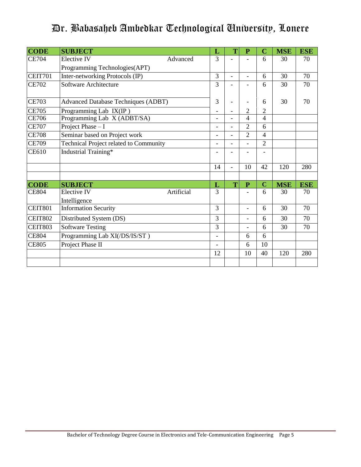| <b>CODE</b>    | <b>SUBJECT</b>                                   | L                        | T              | $\mathbf{P}$             | $\mathbf C$    | <b>MSE</b> | <b>ESE</b> |
|----------------|--------------------------------------------------|--------------------------|----------------|--------------------------|----------------|------------|------------|
| <b>CE704</b>   | Elective IV<br>Advanced                          | 3                        |                |                          | 6              | 30         | 70         |
|                | Programming Technologies(APT)                    |                          |                |                          |                |            |            |
| CEIT701        | Inter-networking Protocols (IP)                  | 3                        | $\blacksquare$ | $\overline{\phantom{0}}$ | 6              | 30         | 70         |
| <b>CE702</b>   | Software Architecture                            | 3                        |                |                          | 6              | 30         | 70         |
| <b>CE703</b>   | <b>Advanced Database Techniques (ADBT)</b>       | 3                        |                |                          | 6              | 30         | 70         |
| <b>CE705</b>   | Programming Lab IX(IP)                           |                          |                | 2                        | $\mathbf{2}$   |            |            |
| <b>CE706</b>   | Programming Lab X (ADBT/SA)                      | -                        |                | 4                        | $\overline{4}$ |            |            |
| <b>CE707</b>   | Project Phase - I                                | $\overline{\phantom{0}}$ | $\overline{a}$ | $\overline{2}$           | 6              |            |            |
| <b>CE708</b>   | Seminar based on Project work                    | -                        |                | $\overline{2}$           | $\overline{4}$ |            |            |
| <b>CE709</b>   | Technical Project related to Community           |                          |                |                          | $\overline{2}$ |            |            |
| <b>CE610</b>   | Industrial Training*                             |                          |                |                          |                |            |            |
|                |                                                  | 14                       |                | 10                       | 42             | 120        | 280        |
|                |                                                  |                          |                |                          |                |            |            |
| <b>CODE</b>    | <b>SUBJECT</b>                                   | L                        | T              | $\overline{P}$           | $\mathbf C$    | <b>MSE</b> | <b>ESE</b> |
| <b>CE804</b>   | Artificial<br><b>Elective IV</b><br>Intelligence | 3                        |                |                          | 6              | 30         | 70         |
| <b>CEIT801</b> | <b>Information Security</b>                      | 3                        |                |                          | 6              | 30         | 70         |
| <b>CEIT802</b> | Distributed System (DS)                          | 3                        |                | $\overline{\phantom{0}}$ | 6              | 30         | 70         |
| <b>CEIT803</b> | <b>Software Testing</b>                          | 3                        |                |                          | 6              | 30         | 70         |
| <b>CE804</b>   | Programming Lab XI(/DS/IS/ST)                    | Ξ.                       |                | 6                        | 6              |            |            |
| <b>CE805</b>   | Project Phase II                                 | $\overline{\phantom{0}}$ |                | 6                        | 10             |            |            |
|                |                                                  | 12                       |                | 10                       | 40             | 120        | 280        |
|                |                                                  |                          |                |                          |                |            |            |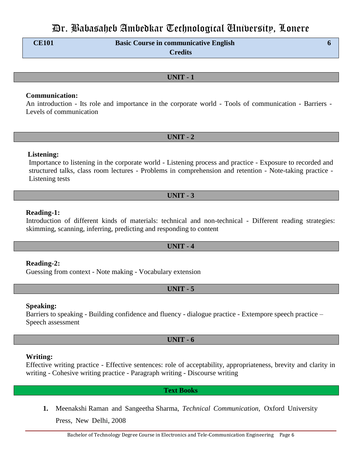**CE101 Basic Course in communicative English 6 Credits**

# **UNIT - 1**

### **Communication:**

An introduction - Its role and importance in the corporate world - Tools of communication - Barriers - Levels of communication

### **UNIT - 2**

### **Listening:**

Importance to listening in the corporate world - Listening process and practice - Exposure to recorded and structured talks, class room lectures - Problems in comprehension and retention - Note-taking practice - Listening tests

### **UNIT - 3**

### **Reading-1:**

Introduction of different kinds of materials: technical and non-technical - Different reading strategies: skimming, scanning, inferring, predicting and responding to content

# **UNIT - 4**

**Reading-2:**

Guessing from context - Note making - Vocabulary extension

### **UNIT - 5**

### **Speaking:**

Barriers to speaking - Building confidence and fluency - dialogue practice - Extempore speech practice – Speech assessment

# **UNIT - 6**

### **Writing:**

Effective writing practice - Effective sentences: role of acceptability, appropriateness, brevity and clarity in writing - Cohesive writing practice - Paragraph writing - Discourse writing

### **Text Books**

**1.** Meenakshi Raman and Sangeetha Sharma, *Technical Communication*, Oxford University Press, New Delhi, 2008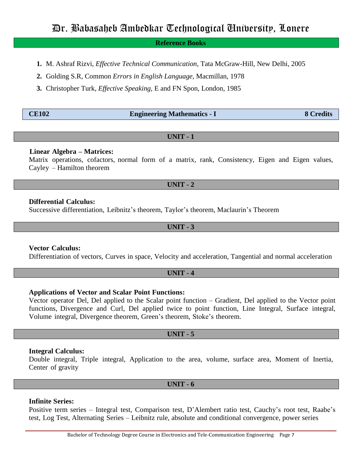### **Reference Books**

- **1.** M. Ashraf Rizvi, *Effective Technical Communication,* Tata McGraw-Hill, New Delhi, 2005
- **2.** Golding S.R, Common *Errors in English Language,* Macmillan, 1978

**3.** Christopher Turk, *Effective Speaking,* E and FN Spon, London, 1985

| <b>CE102</b> | <b>Engineering Mathematics - I</b> | <b>8 Credits</b> |
|--------------|------------------------------------|------------------|
|              |                                    |                  |

#### **UNIT - 1**

### **Linear Algebra – Matrices:**

Matrix operations, cofactors, normal form of a matrix, rank, Consistency, Eigen and Eigen values, Cayley – Hamilton theorem

### **UNIT - 2**

### **Differential Calculus:**

Successive differentiation, Leibnitz"s theorem, Taylor"s theorem, Maclaurin"s Theorem

### **UNIT - 3**

### **Vector Calculus:**

Differentiation of vectors, Curves in space, Velocity and acceleration, Tangential and normal acceleration

### **UNIT - 4**

### **Applications of Vector and Scalar Point Functions:**

Vector operator Del, Del applied to the Scalar point function – Gradient, Del applied to the Vector point functions, Divergence and Curl, Del applied twice to point function, Line Integral, Surface integral, Volume integral, Divergence theorem, Green"s theorem, Stoke"s theorem.

# **UNIT - 5**

#### **Integral Calculus:**

Double integral, Triple integral, Application to the area, volume, surface area, Moment of Inertia, Center of gravity

#### **UNIT - 6**

### **Infinite Series:**

Positive term series – Integral test, Comparison test, D'Alembert ratio test, Cauchy's root test, Raabe's test, Log Test, Alternating Series – Leibnitz rule, absolute and conditional convergence, power series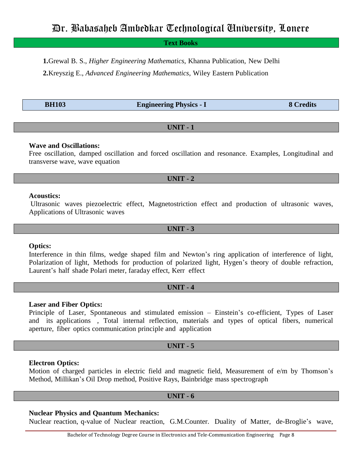**Text Books**

**1.**Grewal B. S., *Higher Engineering Mathematics*, Khanna Publication, New Delhi

**2.**Kreyszig E., *Advanced Engineering Mathematics*, Wiley Eastern Publication

**BH103 Engineering Physics - I 8 Credits**

# **UNIT - 1**

# **Wave and Oscillations:**

Free oscillation, damped oscillation and forced oscillation and resonance. Examples, Longitudinal and transverse wave, wave equation

# **UNIT - 2**

### **Acoustics:**

Ultrasonic waves piezoelectric effect, Magnetostriction effect and production of ultrasonic waves, Applications of Ultrasonic waves

### **UNIT - 3**

# **Optics:**

Interference in thin films, wedge shaped film and Newton"s ring application of interference of light, Polarization of light, Methods for production of polarized light, Hygen's theory of double refraction, Laurent's half shade Polari meter, faraday effect, Kerr effect

# **UNIT - 4**

# **Laser and Fiber Optics:**

Principle of Laser, Spontaneous and stimulated emission – Einstein"s co-efficient, Types of Laser and its applications , Total internal reflection, materials and types of optical fibers, numerical aperture, fiber optics communication principle and application

# **UNIT - 5**

# **Electron Optics:**

Motion of charged particles in electric field and magnetic field, Measurement of e/m by Thomson's Method, Millikan"s Oil Drop method, Positive Rays, Bainbridge mass spectrograph

# **UNIT - 6**

# **Nuclear Physics and Quantum Mechanics:**

Nuclear reaction, q-value of Nuclear reaction, G.M.Counter. Duality of Matter, de-Broglie"s wave,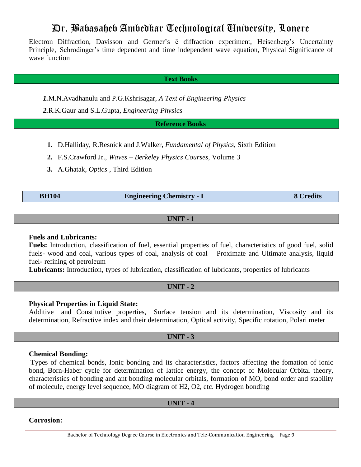Electron Diffraction, Davisson and Germer's  $\bar{e}$  diffraction experiment, Heisenberg's Uncertainty Principle, Schrodinger's time dependent and time independent wave equation, Physical Significance of wave function

### **Text Books**

*1.*M.N.Avadhanulu and P.G.Kshrisagar, *A Text of Engineering Physics*

*2.*R.K.Gaur and S.L.Gupta, *Engineering Physics*

**Reference Books**

- **1.** D.Halliday, R.Resnick and J.Walker, *Fundamental of Physics,* Sixth Edition
- **2.** F.S.Crawford Jr., *Waves – Berkeley Physics Courses,* Volume 3
- **3.** A.Ghatak, *Optics* , Third Edition

# **BH104 Engineering Chemistry - I 8 Credits**

**UNIT - 1**

### **Fuels and Lubricants:**

**Fuels:** Introduction, classification of fuel, essential properties of fuel, characteristics of good fuel, solid fuels- wood and coal, various types of coal, analysis of coal – Proximate and Ultimate analysis, liquid fuel- refining of petroleum

**Lubricants:** Introduction, types of lubrication, classification of lubricants, properties of lubricants

# **UNIT - 2**

# **Physical Properties in Liquid State:**

Additive and Constitutive properties, Surface tension and its determination, Viscosity and its determination, Refractive index and their determination, Optical activity, Specific rotation, Polari meter

# **UNIT - 3**

### **Chemical Bonding:**

Types of chemical bonds, Ionic bonding and its characteristics, factors affecting the fomation of ionic bond, Born-Haber cycle for determination of lattice energy, the concept of Molecular Orbital theory, characteristics of bonding and ant bonding molecular orbitals, formation of MO, bond order and stability of molecule, energy level sequence, MO diagram of H2, O2, etc. Hydrogen bonding

# **UNIT - 4**

**Corrosion:**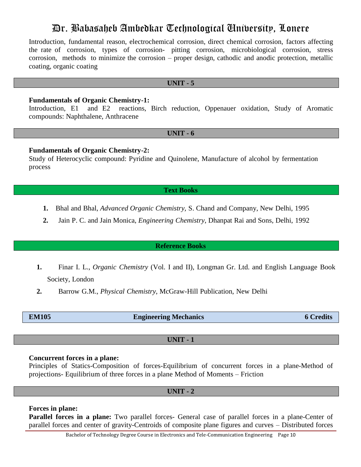Introduction, fundamental reason, electrochemical corrosion, direct chemical corrosion, factors affecting the rate of corrosion, types of corrosion- pitting corrosion, microbiological corrosion, stress corrosion, methods to minimize the corrosion – proper design, cathodic and anodic protection, metallic coating, organic coating

#### **UNIT - 5**

### **Fundamentals of Organic Chemistry-1:**

Introduction, E1 and E2 reactions, Birch reduction, Oppenauer oxidation, Study of Aromatic compounds: Naphthalene, Anthracene

#### **UNIT - 6**

### **Fundamentals of Organic Chemistry-2:**

Study of Heterocyclic compound: Pyridine and Quinolene, Manufacture of alcohol by fermentation process

### **Text Books**

- **1.** Bhal and Bhal, *Advanced Organic Chemistry,* S. Chand and Company, New Delhi, 1995
- **2.** Jain P. C. and Jain Monica, *Engineering Chemistry*, Dhanpat Rai and Sons, Delhi, 1992

#### **Reference Books**

- **1.** Finar I. L., *Organic Chemistry* (Vol. I and II), Longman Gr. Ltd. and English Language Book Society, London
- **2.** Barrow G.M., *Physical Chemistry*, McGraw-Hill Publication, New Delhi

| <b>EM105</b> | <b>Engineering Mechanics</b> | <b>6 Credits</b> |
|--------------|------------------------------|------------------|
|              |                              |                  |

# **UNIT - 1**

### **Concurrent forces in a plane:**

Principles of Statics-Composition of forces-Equilibrium of concurrent forces in a plane-Method of projections- Equilibrium of three forces in a plane Method of Moments – Friction

#### **UNIT - 2**

#### **Forces in plane:**

**Parallel forces in a plane:** Two parallel forces- General case of parallel forces in a plane-Center of parallel forces and center of gravity-Centroids of composite plane figures and curves – Distributed forces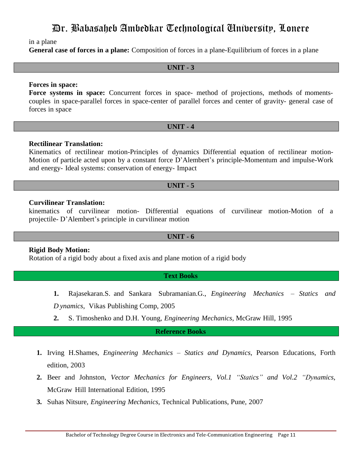in a plane

**General case of forces in a plane:** Composition of forces in a plane-Equilibrium of forces in a plane

### **UNIT - 3**

### **Forces in space:**

**Force systems in space:** Concurrent forces in space- method of projections, methods of momentscouples in space-parallel forces in space-center of parallel forces and center of gravity- general case of forces in space

### **UNIT - 4**

# **Rectilinear Translation:**

Kinematics of rectilinear motion-Principles of dynamics Differential equation of rectilinear motion-Motion of particle acted upon by a constant force D"Alembert"s principle-Momentum and impulse-Work and energy- Ideal systems: conservation of energy- Impact

# **UNIT - 5**

# **Curvilinear Translation:**

kinematics of curvilinear motion- Differential equations of curvilinear motion-Motion of a projectile- D"Alembert"s principle in curvilinear motion

### **UNIT - 6**

# **Rigid Body Motion:**

Rotation of a rigid body about a fixed axis and plane motion of a rigid body

# **Text Books**

**1.** Rajasekaran.S. and Sankara Subramanian.G., *Engineering Mechanics – Statics and*

*D ynamics*, Vikas Publishing Comp, 2005

**2.** S. Timoshenko and D.H. Young, *Engineering Mechanics,* McGraw Hill, 1995

# **Reference Books**

- **1.** Irving H.Shames, *Engineering Mechanics – Statics and Dynamics*, Pearson Educations, Forth edition, 2003
- **2.** Beer and Johnston, *Vector Mechanics for Engineers, Vol.1 "Statics" and Vol.2 "Dynamics*, McGraw Hill International Edition, 1995
- **3.** Suhas Nitsure, *Engineering Mechanics*, Technical Publications, Pune, 2007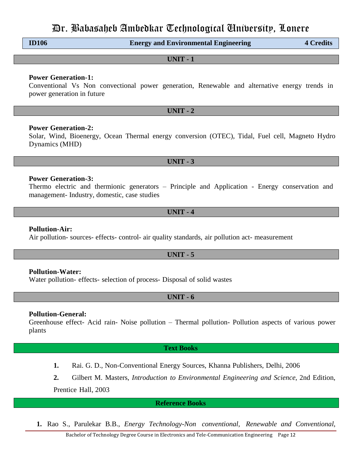**ID106 Energy and Environmental Engineering 4 Credits**

**UNIT - 1**

### **Power Generation-1:**

Conventional Vs Non convectional power generation, Renewable and alternative energy trends in power generation in future

**UNIT - 2**

### **Power Generation-2:**

Solar, Wind, Bioenergy, Ocean Thermal energy conversion (OTEC), Tidal, Fuel cell, Magneto Hydro Dynamics (MHD)

**UNIT - 3**

### **Power Generation-3:**

Thermo electric and thermionic generators – Principle and Application - Energy conservation and management- Industry, domestic, case studies

### **UNIT - 4**

### **Pollution-Air:**

Air pollution- sources- effects- control- air quality standards, air pollution act- measurement

# **UNIT - 5**

### **Pollution-Water:**

Water pollution- effects- selection of process- Disposal of solid wastes

# **UNIT - 6**

### **Pollution-General:**

Greenhouse effect- Acid rain- Noise pollution – Thermal pollution- Pollution aspects of various power plants

### **Text Books**

- **1.** Rai. G. D., Non-Conventional Energy Sources, Khanna Publishers, Delhi, 2006
- **2.** Gilbert M. Masters, *Introduction to Environmental Engineering and Science*, 2nd Edition,

Prentice Hall, 2003

**Reference Books**

**1.** Rao S., Parulekar B.B., *Energy Technology-Non conventional, Renewable and Conventional*,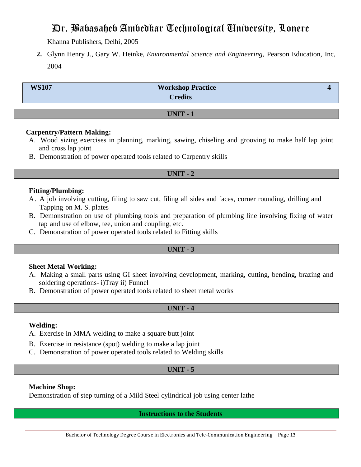Khanna Publishers, Delhi, 2005

**2.** Glynn Henry J., Gary W. Heinke, *Environmental Science and Engineering*, Pearson Education, Inc, 2004

| <b>WS107</b> | <b>Workshop Practice</b><br><b>Credits</b> |  |
|--------------|--------------------------------------------|--|
|              |                                            |  |
|              | <b>UNIT-1</b>                              |  |

# **Carpentry/Pattern Making:**

- A. Wood sizing exercises in planning, marking, sawing, chiseling and grooving to make half lap joint and cross lap joint
- B. Demonstration of power operated tools related to Carpentry skills

# **UNIT - 2**

# **Fitting/Plumbing:**

- A. A job involving cutting, filing to saw cut, filing all sides and faces, corner rounding, drilling and Tapping on M. S. plates
- B. Demonstration on use of plumbing tools and preparation of plumbing line involving fixing of water tap and use of elbow, tee, union and coupling, etc.
- C. Demonstration of power operated tools related to Fitting skills

# **UNIT - 3**

# **Sheet Metal Working:**

- A. Making a small parts using GI sheet involving development, marking, cutting, bending, brazing and soldering operations- i)Tray ii) Funnel
- B. Demonstration of power operated tools related to sheet metal works

# **UNIT - 4**

# **Welding:**

- A. Exercise in MMA welding to make a square butt joint
- B. Exercise in resistance (spot) welding to make a lap joint
- C. Demonstration of power operated tools related to Welding skills

# **UNIT - 5**

# **Machine Shop:**

Demonstration of step turning of a Mild Steel cylindrical job using center lathe

**Instructions to the Students**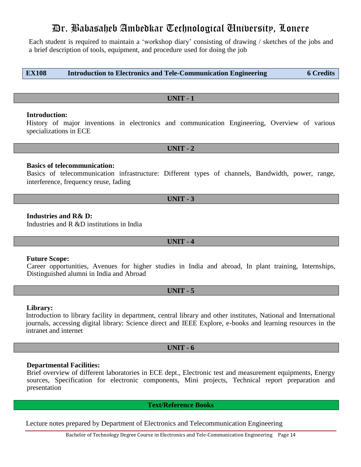Each student is required to maintain a "workshop diary" consisting of drawing / sketches of the jobs and a brief description of tools, equipment, and procedure used for doing the job

**EX108 Introduction to Electronics and Tele-Communication Engineering 6 Credits**

# **UNIT - 1**

# **Introduction:**

History of major inventions in electronics and communication Engineering, Overview of various specializations in ECE

**UNIT - 2**

# **Basics of telecommunication:**

Basics of telecommunication infrastructure: Different types of channels, Bandwidth, power, range, interference, frequency reuse, fading

# **Industries and R& D:**

Industries and R &D institutions in India

# **UNIT - 4**

# **Future Scope:**

Career opportunities, Avenues for higher studies in India and abroad, In plant training, Internships, Distinguished alumni in India and Abroad

# **UNIT - 5**

# **Library:**

Introduction to library facility in department, central library and other institutes, National and International journals, accessing digital library: Science direct and IEEE Explore, e-books and learning resources in the intranet and internet

# **UNIT - 6**

# **Departmental Facilities:**

Brief overview of different laboratories in ECE dept., Electronic test and measurement equipments, Energy sources, Specification for electronic components, Mini projects, Technical report preparation and presentation

**Text/Reference Books**

Lecture notes prepared by Department of Electronics and Telecommunication Engineering

**UNIT - 3**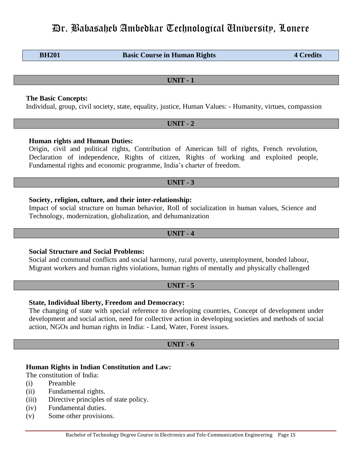**BH201 Basic Course in Human Rights 4 Credits** 

**UNIT - 1**

# **The Basic Concepts:**

Individual, group, civil society, state, equality, justice, Human Values: - Humanity, virtues, compassion

### **UNIT - 2**

# **Human rights and Human Duties:**

Origin, civil and political rights, Contribution of American bill of rights, French revolution, Declaration of independence, Rights of citizen, Rights of working and exploited people, Fundamental rights and economic programme, India"s charter of freedom.

# **UNIT - 3**

# **Society, religion, culture, and their inter-relationship:**

Impact of social structure on human behavior, Roll of socialization in human values, Science and Technology, modernization, globalization, and dehumanization

# **UNIT - 4**

# **Social Structure and Social Problems:**

Social and communal conflicts and social harmony, rural poverty, unemployment, bonded labour, Migrant workers and human rights violations, human rights of mentally and physically challenged

# **UNIT - 5**

# **State, Individual liberty, Freedom and Democracy:**

The changing of state with special reference to developing countries, Concept of development under development and social action, need for collective action in developing societies and methods of social action, NGOs and human rights in India: - Land, Water, Forest issues.

# **UNIT - 6**

# **Human Rights in Indian Constitution and Law:**

The constitution of India:

- (i) Preamble
- (ii) Fundamental rights.
- (iii) Directive principles of state policy.
- (iv) Fundamental duties.
- (v) Some other provisions.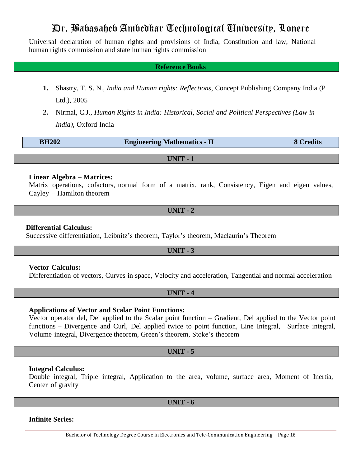Universal declaration of human rights and provisions of India, Constitution and law, National human rights commission and state human rights commission

### **Reference Books**

- **1.** Shastry, T. S. N., *India and Human rights: Reflections*, Concept Publishing Company India (P Ltd.), 2005
- **2.** Nirmal, C.J., *Human Rights in India: Historical, Social and Political Perspectives (Law in India)*, Oxford India

| <b>BH202</b> | <b>Engineering Mathematics - II</b> | 8 Credits |
|--------------|-------------------------------------|-----------|
|--------------|-------------------------------------|-----------|

**UNIT - 1**

### **Linear Algebra – Matrices:**

Matrix operations, cofactors, normal form of a matrix, rank, Consistency, Eigen and eigen values, Cayley – Hamilton theorem

**UNIT - 2**

#### **Differential Calculus:**

Successive differentiation, Leibnitz's theorem, Taylor's theorem, Maclaurin's Theorem

### **UNIT - 3**

# **Vector Calculus:**

Differentiation of vectors, Curves in space, Velocity and acceleration, Tangential and normal acceleration

### **UNIT - 4**

# **Applications of Vector and Scalar Point Functions:**

Vector operator del, Del applied to the Scalar point function – Gradient, Del applied to the Vector point functions – Divergence and Curl, Del applied twice to point function, Line Integral, Surface integral, Volume integral, Divergence theorem, Green"s theorem, Stoke"s theorem

### **UNIT - 5**

### **Integral Calculus:**

Double integral, Triple integral, Application to the area, volume, surface area, Moment of Inertia, Center of gravity

**UNIT - 6**

### **Infinite Series:**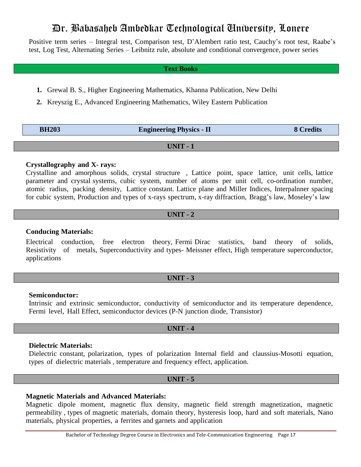Positive term series – Integral test, Comparison test, D'Alembert ratio test, Cauchy's root test, Raabe's test, Log Test, Alternating Series – Leibnitz rule, absolute and conditional convergence, power series

### **Text Books**

- **1.** Grewal B. S., Higher Engineering Mathematics, Khanna Publication, New Delhi
- **2.** Kreyszig E., Advanced Engineering Mathematics, Wiley Eastern Publication

| <b>BH203</b> | <b>Engineering Physics - II</b> | <b>8 Credits</b> |
|--------------|---------------------------------|------------------|
|              |                                 |                  |

**UNIT - 1**

# **Crystallography and X- rays:**

Crystalline and amorphous solids, crystal structure , Lattice point, space lattice, unit cells, lattice parameter and crystal systems, cubic system, number of atoms per unit cell, co-ordination number, atomic radius, packing density, Lattice constant. Lattice plane and Miller Indices, Interpalnner spacing for cubic system, Production and types of x-rays spectrum, x-ray diffraction, Bragg's law, Moseley's law

# **UNIT - 2**

### **Conducing Materials:**

Electrical conduction, free electron theory, Fermi Dirac statistics, band theory of solids, Resistivity of metals, Superconductivity and types- Meissner effect, High temperature superconductor, applications

### **UNIT - 3**

#### **Semiconductor:**

Intrinsic and extrinsic semiconductor, conductivity of semiconductor and its temperature dependence, Fermi level, Hall Effect, semiconductor devices (P-N junction diode, Transistor)

### **UNIT - 4**

#### **Dielectric Materials:**

Dielectric constant, polarization, types of polarization Internal field and claussius-Mosotti equation, types of dielectric materials , temperature and frequency effect, application.

### **UNIT - 5**

# **Magnetic Materials and Advanced Materials:**

Magnetic dipole moment, magnetic flux density, magnetic field strength magnetization, magnetic permeability , types of magnetic materials, domain theory, hysteresis loop, hard and soft materials, Nano materials, physical properties, a ferrites and garnets and application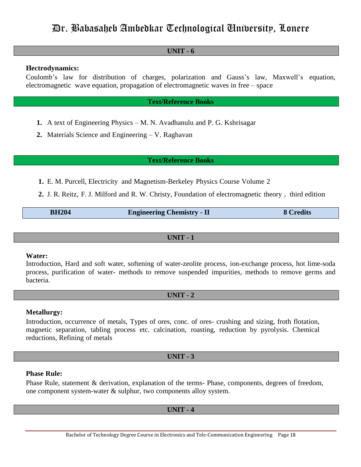# **UNIT - 6**

# **Electrodynamics:**

Coulomb"s law for distribution of charges, polarization and Gauss"s law, Maxwell"s equation, electromagnetic wave equation, propagation of electromagnetic waves in free – space

# **Text/Reference Books**

- **1.** A text of Engineering Physics M. N. Avadhanulu and P. G. Kshrisagar
- **2.** Materials Science and Engineering V. Raghavan

### **Text/Reference Books**

- **1.** E. M. Purcell, Electricity and Magnetism-Berkeley Physics Course Volume 2
- **2.** J. R. Reitz, F. J. Milford and R. W. Christy, Foundation of electromagnetic theory , third edition

| <b>BH204</b> | <b>Engineering Chemistry - II</b> | 8 Credits |
|--------------|-----------------------------------|-----------|
|--------------|-----------------------------------|-----------|

# **UNIT - 1**

### **Water:**

Introduction, Hard and soft water, softening of water-zeolite process, ion-exchange process, hot lime-soda process, purification of water- methods to remove suspended impurities, methods to remove germs and bacteria.

# **UNIT - 2**

# **Metallurgy:**

Introduction, occurrence of metals, Types of ores, conc. of ores- crushing and sizing, froth flotation, magnetic separation, tabling process etc. calcination, roasting, reduction by pyrolysis. Chemical reductions, Refining of metals

# **UNIT - 3**

### **Phase Rule:**

Phase Rule, statement & derivation, explanation of the terms- Phase, components, degrees of freedom, one component system-water & sulphur, two components alloy system.

# **UNIT - 4**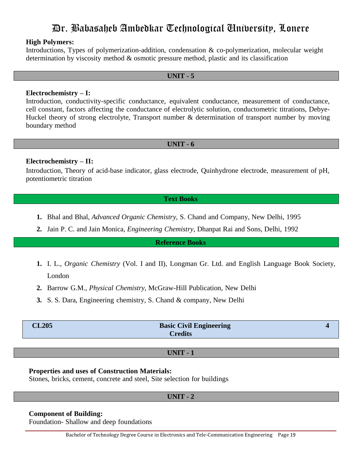### **High Polymers:**

Introductions, Types of polymerization-addition, condensation & co-polymerization, molecular weight determination by viscosity method & osmotic pressure method, plastic and its classification

# **UNIT - 5**

### **Electrochemistry – I:**

Introduction, conductivity-specific conductance, equivalent conductance, measurement of conductance, cell constant, factors affecting the conductance of electrolytic solution, conductometric titrations, Debye-Huckel theory of strong electrolyte, Transport number & determination of transport number by moving boundary method

### **UNIT - 6**

### **Electrochemistry – II:**

Introduction, Theory of acid-base indicator, glass electrode, Quinhydrone electrode, measurement of pH, potentiometric titration

### **Text Books**

- **1.** Bhal and Bhal, *Advanced Organic Chemistry,* S. Chand and Company, New Delhi, 1995
- **2.** Jain P. C. and Jain Monica, *Engineering Chemistry*, Dhanpat Rai and Sons, Delhi, 1992

### **Reference Books**

- **1.** I. L., *Organic Chemistry* (Vol. I and II), Longman Gr. Ltd. and English Language Book Society, London
- **2.** Barrow G.M., *Physical Chemistry*, McGraw-Hill Publication, New Delhi
- **3.** S. S. Dara, Engineering chemistry, S. Chand & company, New Delhi

| <b>CL205</b> | <b>Basic Civil Engineering</b> |  |
|--------------|--------------------------------|--|
|              | <b>Credits</b>                 |  |
|              |                                |  |

### **UNIT - 1**

#### **Properties and uses of Construction Materials:**

Stones, bricks, cement, concrete and steel, Site selection for buildings

**UNIT - 2**

### **Component of Building:**

Foundation- Shallow and deep foundations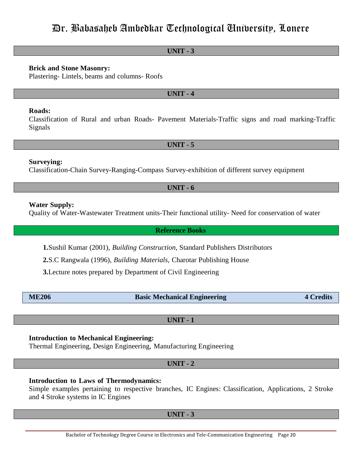### **UNIT - 3**

### **Brick and Stone Masonry:**

Plastering- Lintels, beams and columns- Roofs

### **UNIT - 4**

### **Roads:**

Classification of Rural and urban Roads- Pavement Materials-Traffic signs and road marking-Traffic Signals

**UNIT - 5**

### **Surveying:**

Classification-Chain Survey-Ranging-Compass Survey-exhibition of different survey equipment

# **UNIT - 6**

### **Water Supply:**

Quality of Water-Wastewater Treatment units-Their functional utility- Need for conservation of water

**Reference Books**

**1.**Sushil Kumar (2001), *Building Construction*, Standard Publishers Distributors

**2.**S.C Rangwala (1996), *Building Materials*, Charotar Publishing House

**3.**Lecture notes prepared by Department of Civil Engineering

| <b>ME206</b> |
|--------------|
|--------------|

**ME206 Basic Mechanical Engineering 4 Credits** 

**UNIT - 1**

### **Introduction to Mechanical Engineering:**

Thermal Engineering, Design Engineering, Manufacturing Engineering

**UNIT - 2**

### **Introduction to Laws of Thermodynamics:**

Simple examples pertaining to respective branches, IC Engines: Classification, Applications, 2 Stroke and 4 Stroke systems in IC Engines

**UNIT - 3**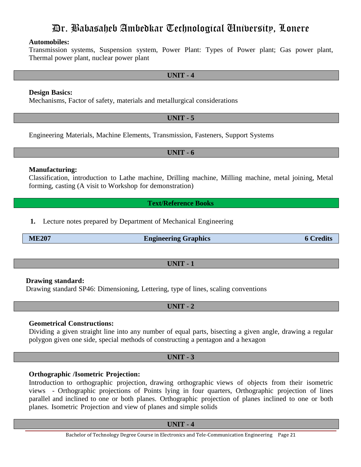# **Automobiles:**

Transmission systems, Suspension system, Power Plant: Types of Power plant; Gas power plant, Thermal power plant, nuclear power plant

### **UNIT - 4**

### **Design Basics:**

Mechanisms, Factor of safety, materials and metallurgical considerations

# **UNIT - 5**

Engineering Materials, Machine Elements, Transmission, Fasteners, Support Systems

**UNIT - 6**

### **Manufacturing:**

Classification, introduction to Lathe machine, Drilling machine, Milling machine, metal joining, Metal forming, casting (A visit to Workshop for demonstration)

**Text/Reference Books**

**1.** Lecture notes prepared by Department of Mechanical Engineering

**ME207 Engineering Graphics 6 Credits**

# **UNIT - 1**

# **Drawing standard:**

Drawing standard SP46: Dimensioning, Lettering, type of lines, scaling conventions

**UNIT - 2**

# **Geometrical Constructions:**

Dividing a given straight line into any number of equal parts, bisecting a given angle, drawing a regular polygon given one side, special methods of constructing a pentagon and a hexagon

### **UNIT - 3**

# **Orthographic /Isometric Projection:**

Introduction to orthographic projection, drawing orthographic views of objects from their isometric views - Orthographic projections of Points lying in four quarters, Orthographic projection of lines parallel and inclined to one or both planes. Orthographic projection of planes inclined to one or both planes. Isometric Projection and view of planes and simple solids

**UNIT - 4**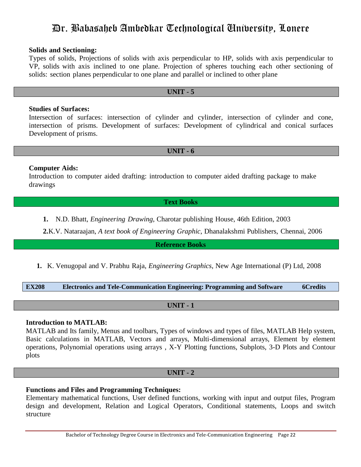### **Solids and Sectioning:**

Types of solids, Projections of solids with axis perpendicular to HP, solids with axis perpendicular to VP, solids with axis inclined to one plane. Projection of spheres touching each other sectioning of solids: section planes perpendicular to one plane and parallel or inclined to other plane

# **UNIT - 5**

### **Studies of Surfaces:**

Intersection of surfaces: intersection of cylinder and cylinder, intersection of cylinder and cone, intersection of prisms. Development of surfaces: Development of cylindrical and conical surfaces Development of prisms.

### **UNIT - 6**

# **Computer Aids:**

Introduction to computer aided drafting: introduction to computer aided drafting package to make drawings

### **Text Books**

**1.** N.D. Bhatt, *Engineering Drawing*, Charotar publishing House, 46th Edition, 2003

**2.**K.V. Nataraajan, *A text book of Engineering Graphic*, Dhanalakshmi Publishers, Chennai, 2006

**Reference Books**

**1.** K. Venugopal and V. Prabhu Raja, *Engineering Graphics*, New Age International (P) Ltd, 2008

**EX208 Electronics and Tele-Communication Engineering: Programming and Software 6Credits**

# **UNIT - 1**

# **Introduction to MATLAB:**

MATLAB and Its family, Menus and toolbars, Types of windows and types of files, MATLAB Help system, Basic calculations in MATLAB, Vectors and arrays, Multi-dimensional arrays, Element by element operations, Polynomial operations using arrays , X-Y Plotting functions, Subplots, 3-D Plots and Contour plots

# **UNIT - 2**

# **Functions and Files and Programming Techniques:**

Elementary mathematical functions, User defined functions, working with input and output files, Program design and development, Relation and Logical Operators, Conditional statements, Loops and switch structure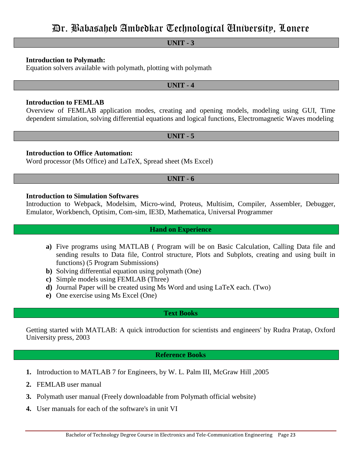# **UNIT - 3**

# **Introduction to Polymath:**

Equation solvers available with polymath, plotting with polymath

### **UNIT - 4**

### **Introduction to FEMLAB**

Overview of FEMLAB application modes, creating and opening models, modeling using GUI, Time dependent simulation, solving differential equations and logical functions, Electromagnetic Waves modeling

### **UNIT - 5**

# **Introduction to Office Automation:**

Word processor (Ms Office) and LaTeX, Spread sheet (Ms Excel)

# **UNIT - 6**

### **Introduction to Simulation Softwares**

Introduction to Webpack, Modelsim, Micro-wind, Proteus, Multisim, Compiler, Assembler, Debugger, Emulator, Workbench, Optisim, Com-sim, IE3D, Mathematica, Universal Programmer

### **Hand on Experience**

- **a)** Five programs using MATLAB ( Program will be on Basic Calculation, Calling Data file and sending results to Data file, Control structure, Plots and Subplots, creating and using built in functions) (5 Program Submissions)
- **b)** Solving differential equation using polymath (One)
- **c)** Simple models using FEMLAB (Three)
- **d)** Journal Paper will be created using Ms Word and using LaTeX each. (Two)
- **e)** One exercise using Ms Excel (One)

### **Text Books**

Getting started with MATLAB: A quick introduction for scientists and engineers' by Rudra Pratap, Oxford University press, 2003

# **Reference Books**

- **1.** Introduction to MATLAB 7 for Engineers, by W. L. Palm III, McGraw Hill ,2005
- **2.** FEMLAB user manual
- **3.** Polymath user manual (Freely downloadable from Polymath official website)
- **4.** User manuals for each of the software's in unit VI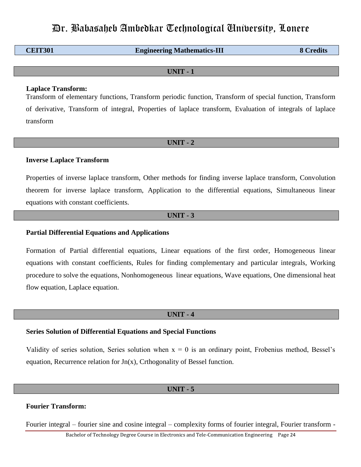| <b>CEIT301</b> | <b>Engineering Mathematics-III</b> | <b>8 Credits</b> |
|----------------|------------------------------------|------------------|
|                |                                    |                  |

**UNIT - 1**

### **Laplace Transform:**

Transform of elementary functions, Transform periodic function, Transform of special function, Transform of derivative, Transform of integral, Properties of laplace transform, Evaluation of integrals of laplace transform

### **UNIT - 2**

### **Inverse Laplace Transform**

Properties of inverse laplace transform, Other methods for finding inverse laplace transform, Convolution theorem for inverse laplace transform, Application to the differential equations, Simultaneous linear equations with constant coefficients.

### **UNIT - 3**

### **Partial Differential Equations and Applications**

Formation of Partial differential equations, Linear equations of the first order, Homogeneous linear equations with constant coefficients, Rules for finding complementary and particular integrals, Working procedure to solve the equations, Nonhomogeneous linear equations, Wave equations, One dimensional heat flow equation, Laplace equation.

### **UNIT - 4**

#### **Series Solution of Differential Equations and Special Functions**

Validity of series solution, Series solution when  $x = 0$  is an ordinary point, Frobenius method, Bessel's equation, Recurrence relation for Jn(x), Crthogonality of Bessel function.

#### **UNIT - 5**

### **Fourier Transform:**

Fourier integral – fourier sine and cosine integral – complexity forms of fourier integral, Fourier transform -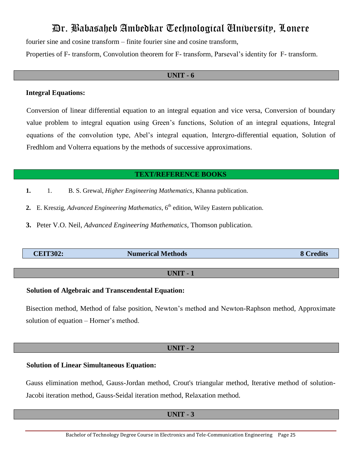fourier sine and cosine transform – finite fourier sine and cosine transform,

Properties of F- transform, Convolution theorem for F- transform, Parseval"s identity for F- transform.

### **UNIT - 6**

# **Integral Equations:**

Conversion of linear differential equation to an integral equation and vice versa, Conversion of boundary value problem to integral equation using Green"s functions, Solution of an integral equations, Integral equations of the convolution type, Abel"s integral equation, Intergro-differential equation, Solution of Fredhlom and Volterra equations by the methods of successive approximations.

# **TEXT/REFERENCE BOOKS**

- **1.** 1. B. S. Grewal, *Higher Engineering Mathematics*, Khanna publication.
- 2. E. Kreszig, *Advanced Engineering Mathematics*,  $6<sup>th</sup>$  edition, Wiley Eastern publication.
- **3.** Peter V.O. Neil, *Advanced Engineering Mathematics*, Thomson publication.

| <b>CEIT302:</b> | <b>Numerical Methods</b> | $\blacksquare$ |
|-----------------|--------------------------|----------------|
|                 |                          |                |

# **UNIT - 1**

# **Solution of Algebraic and Transcendental Equation:**

Bisection method, Method of false position, Newton"s method and Newton-Raphson method, Approximate solution of equation – Horner's method.

# **UNIT - 2**

# **Solution of Linear Simultaneous Equation:**

Gauss elimination method, Gauss-Jordan method, Crout's triangular method, Iterative method of solution-Jacobi iteration method, Gauss-Seidal iteration method, Relaxation method.

# **UNIT - 3**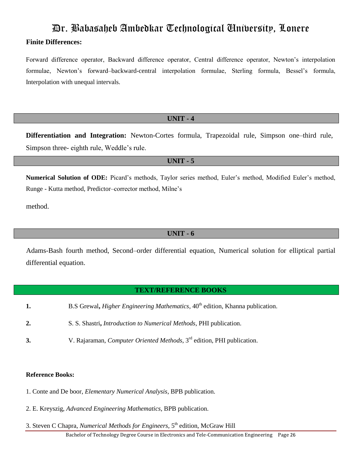# **Finite Differences:**

Forward difference operator, Backward difference operator, Central difference operator, Newton"s interpolation formulae, Newton's forward-backward-central interpolation formulae, Sterling formula, Bessel's formula, Interpolation with unequal intervals.

# **UNIT - 4**

**Differentiation and Integration:** Newton-Cortes formula, Trapezoidal rule, Simpson one–third rule, Simpson three- eighth rule, Weddle"s rule.

# **UNIT - 5**

**Numerical Solution of ODE:** Picard"s methods, Taylor series method, Euler"s method, Modified Euler"s method, Runge - Kutta method, Predictor–corrector method, Milne"s

method.

# **UNIT - 6**

Adams-Bash fourth method, Second–order differential equation, Numerical solution for elliptical partial differential equation.

# **TEXT/REFERENCE BOOKS**

- **1.** B.S Grewal, *Higher Engineering Mathematics*, 40<sup>th</sup> edition, Khanna publication.
- **2.** S. S. Shastri**,** *Introduction to Numerical Methods*, PHI publication.
- **3.** V. Rajaraman, *Computer Oriented Methods*, 3rd edition, PHI publication.

# **Reference Books:**

- 1. Conte and De boor, *Elementary Numerical Analysis*, BPB publication.
- 2. E. Kreyszig, *Advanced Engineering Mathematics*, BPB publication.
- Bachelor of Technology Degree Course in Electronics and Tele-Communication Engineering Page 26 3. Steven C Chapra, *Numerical Methods for Engineers*, 5<sup>th</sup> edition, McGraw Hill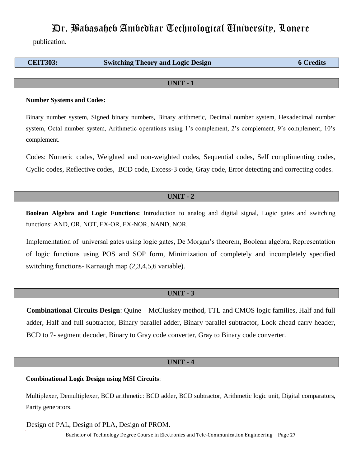publication.

| <b>CEIT303:</b> | <b>Switching Theory and Logic Design</b> | <b>6 Credits</b> |
|-----------------|------------------------------------------|------------------|
|                 |                                          |                  |

#### **UNIT - 1**

#### **Number Systems and Codes:**

Binary number system, Signed binary numbers, Binary arithmetic, Decimal number system, Hexadecimal number system, Octal number system, Arithmetic operations using 1's complement, 2's complement, 9's complement, 10's complement.

Codes: Numeric codes, Weighted and non-weighted codes, Sequential codes, Self complimenting codes, Cyclic codes, Reflective codes, BCD code, Excess-3 code, Gray code, Error detecting and correcting codes.

#### **UNIT - 2**

**Boolean Algebra and Logic Functions:** Introduction to analog and digital signal, Logic gates and switching functions: AND, OR, NOT, EX-OR, EX-NOR, NAND, NOR.

Implementation of universal gates using logic gates, De Morgan"s theorem, Boolean algebra, Representation of logic functions using POS and SOP form, Minimization of completely and incompletely specified switching functions- Karnaugh map (2,3,4,5,6 variable).

### **UNIT - 3**

**Combinational Circuits Design**: Quine – McCluskey method, TTL and CMOS logic families, Half and full adder, Half and full subtractor, Binary parallel adder, Binary parallel subtractor, Look ahead carry header, BCD to 7- segment decoder, Binary to Gray code converter, Gray to Binary code converter.

### **UNIT - 4**

**Combinational Logic Design using MSI Circuits**:

Multiplexer, Demultiplexer, BCD arithmetic: BCD adder, BCD subtractor, Arithmetic logic unit, Digital comparators, Parity generators.

Design of PAL, Design of PLA, Design of PROM.

Bachelor of Technology Degree Course in Electronics and Tele-Communication Engineering Page 27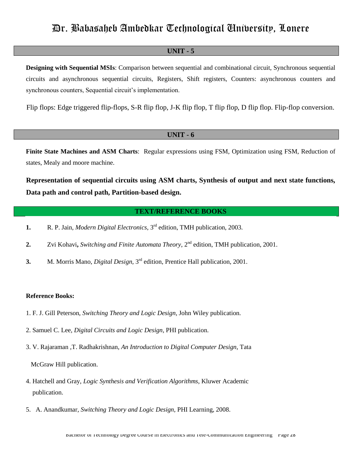### **UNIT - 5**

**Designing with Sequential MSIs**: Comparison between sequential and combinational circuit, Synchronous sequential circuits and asynchronous sequential circuits, Registers, Shift registers, Counters: asynchronous counters and synchronous counters, Sequential circuit's implementation.

Flip flops: Edge triggered flip-flops, S-R flip flop, J-K flip flop, T flip flop, D flip flop. Flip-flop conversion.

# **UNIT - 6**

**Finite State Machines and ASM Charts**: Regular expressions using FSM, Optimization using FSM, Reduction of states, Mealy and moore machine.

**Representation of sequential circuits using ASM charts, Synthesis of output and next state functions, Data path and control path, Partition-based design.** 

### **TEXT/REFERENCE BOOKS**

- **1.** R. P. Jain, *Modern Digital Electronics*, 3rd edition, TMH publication, 2003.
- **2.** Zvi Kohavi**,** *Switching and Finite Automata Theory*, 2nd edition, TMH publication, 2001.
- **3.** M. Morris Mano, *Digital Design*, 3rd edition, Prentice Hall publication, 2001.

#### **Reference Books:**

- 1. F. J. Gill Peterson, *Switching Theory and Logic Design*, John Wiley publication.
- 2. Samuel C. Lee, *Digital Circuits and Logic Design*, PHI publication.
- 3. V. Rajaraman ,T. Radhakrishnan, *An Introduction to Digital Computer Design*, Tata

McGraw Hill publication.

- 4. Hatchell and Gray, *Logic Synthesis and Verification Algorithms*, Kluwer Academic publication.
- 5. A. Anandkumar, *Switching Theory and Logic Design,* PHI Learning, 2008.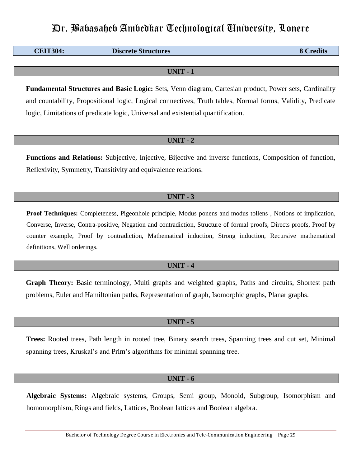**CEIT304: Discrete Structures** 8 Credits

**UNIT - 1**

**Fundamental Structures and Basic Logic:** Sets, Venn diagram, Cartesian product, Power sets, Cardinality and countability, Propositional logic, Logical connectives, Truth tables, Normal forms, Validity, Predicate logic, Limitations of predicate logic, Universal and existential quantification.

### **UNIT - 2**

**Functions and Relations:** Subjective, Injective, Bijective and inverse functions, Composition of function, Reflexivity, Symmetry, Transitivity and equivalence relations.

# **UNIT - 3**

**Proof Techniques:** Completeness, Pigeonhole principle, Modus ponens and modus tollens , Notions of implication, Converse, Inverse, Contra-positive, Negation and contradiction, Structure of formal proofs, Directs proofs, Proof by counter example, Proof by contradiction, Mathematical induction, Strong induction, Recursive mathematical definitions, Well orderings.

### **UNIT - 4**

**Graph Theory:** Basic terminology, Multi graphs and weighted graphs, Paths and circuits, Shortest path problems, Euler and Hamiltonian paths, Representation of graph, Isomorphic graphs, Planar graphs.

### **UNIT - 5**

**Trees:** Rooted trees, Path length in rooted tree, Binary search trees, Spanning trees and cut set, Minimal spanning trees, Kruskal's and Prim's algorithms for minimal spanning tree.

### **UNIT - 6**

**Algebraic Systems:** Algebraic systems, Groups, Semi group, Monoid, Subgroup, Isomorphism and homomorphism, Rings and fields, Lattices, Boolean lattices and Boolean algebra.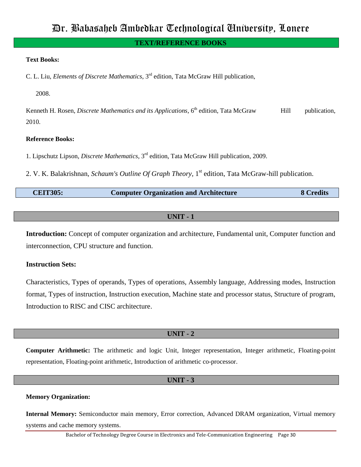### **TEXT/REFERENCE BOOKS**

### **Text Books:**

C. L. Liu, *Elements of Discrete Mathematics*, 3 rd edition, Tata McGraw Hill publication,

2008.

Kenneth H. Rosen, *Discrete Mathematics and its Applications*, 6<sup>th</sup> edition, Tata McGraw Hill publication, 2010.

### **Reference Books:**

1. Lipschutz Lipson, *Discrete Mathematics*, 3 rd edition, Tata McGraw Hill publication, 2009.

2. V. K. Balakrishnan, *Schaum's Outline Of Graph Theory,* 1 st edition, Tata McGraw-hill publication.

| <b>CEIT305:</b> | <b>Computer Organization and Architecture</b> | 8 Credits |
|-----------------|-----------------------------------------------|-----------|
|-----------------|-----------------------------------------------|-----------|

### **UNIT - 1**

**Introduction:** Concept of computer organization and architecture, Fundamental unit, Computer function and interconnection, CPU structure and function.

# **Instruction Sets:**

Characteristics, Types of operands, Types of operations, Assembly language, Addressing modes, Instruction format, Types of instruction, Instruction execution, Machine state and processor status, Structure of program, Introduction to RISC and CISC architecture.

# **UNIT - 2**

**Computer Arithmetic:** The arithmetic and logic Unit, Integer representation, Integer arithmetic, Floating-point representation, Floating-point arithmetic, Introduction of arithmetic co-processor.

### **UNIT - 3**

### **Memory Organization:**

**Internal Memory:** Semiconductor main memory, Error correction, Advanced DRAM organization, Virtual memory systems and cache memory systems.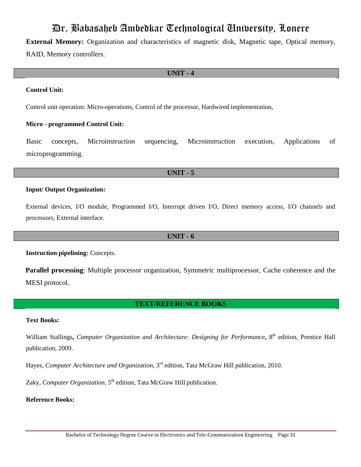**External Memory:** Organization and characteristics of magnetic disk, Magnetic tape, Optical memory, RAID, Memory controllers.

### **UNIT - 4**

### **Control Unit:**

Control unit operation: Micro-operations, Control of the processor, Hardwired implementation,

#### **Micro - programmed Control Unit:**

Basic concepts, Microinstruction sequencing, Microinstruction execution, Applications of microprogramming.

# **UNIT - 5**

### **Input/ Output Organization:**

External devices, I/O module, Programmed I/O, Interrupt driven I/O, Direct memory access, I/O channels and processors, External interface.

#### **UNIT - 6**

**Instruction pipelining:** Concepts.

**Parallel processing**: Multiple processor organization, Symmetric multiprocessor, Cache coherence and the MESI protocol.

### **TEXT/REFERENCE BOOKS**

#### **Text Books:**

William Stallings**,** *Computer Organization and Architecture: Designing for Performance***,** 8 th edition, Prentice Hall publication, 2009.

Hayes, *Computer Architecture and Organization*, 3 rd edition, Tata McGraw Hill publication, 2010.

Zaky, *Computer Organization*, 5<sup>th</sup> edition, Tata McGraw Hill publication.

### **Reference Books:**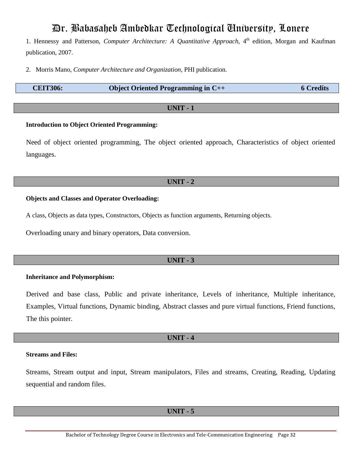1. Hennessy and Patterson, *Computer Architecture: A Quantitative Approach*, 4 th edition, Morgan and Kaufman publication, 2007.

2. Morris Mano, *Computer Architecture and Organization*, PHI publication.

| <b>CEIT306:</b> | <b>Object Oriented Programming in <math>C++</math></b> | <b>6 Credits</b> |
|-----------------|--------------------------------------------------------|------------------|
|-----------------|--------------------------------------------------------|------------------|

### **UNIT - 1**

### **Introduction to Object Oriented Programming:**

Need of object oriented programming, The object oriented approach, Characteristics of object oriented languages.

# **UNIT - 2**

### **Objects and Classes and Operator Overloading:**

A class, Objects as data types, Constructors, Objects as function arguments, Returning objects.

Overloading unary and binary operators, Data conversion.

# **UNIT - 3**

### **Inheritance and Polymorphism:**

Derived and base class, Public and private inheritance, Levels of inheritance, Multiple inheritance, Examples, Virtual functions, Dynamic binding, Abstract classes and pure virtual functions, Friend functions, The this pointer.

# **UNIT - 4**

#### **Streams and Files:**

Streams, Stream output and input, Stream manipulators, Files and streams, Creating, Reading, Updating sequential and random files.

**UNIT - 5**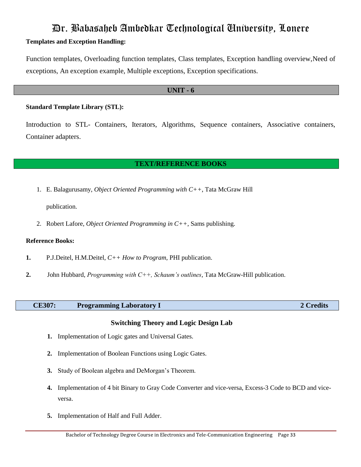# **Templates and Exception Handling:**

Function templates, Overloading function templates, Class templates, Exception handling overview,Need of exceptions, An exception example, Multiple exceptions, Exception specifications.

### **UNIT - 6**

### **Standard Template Library (STL):**

Introduction to STL- Containers, Iterators, Algorithms, Sequence containers, Associative containers, Container adapters.

# **TEXT/REFERENCE BOOKS**

1. E. Balagurusamy, *Object Oriented Programming with C++*, Tata McGraw Hill

publication.

2. Robert Lafore, *Object Oriented Programming in C++*, Sams publishing.

### **Reference Books:**

- **1.** P.J.Deitel, H.M.Deitel, *C++ How to Program*, PHI publication.
- **2.** John Hubbard, *Programming with C++, Schaum's outlines*, Tata McGraw-Hill publication.

### **CE307: Programming Laboratory I 2 Credits**

# **Switching Theory and Logic Design Lab**

- **1.** Implementation of Logic gates and Universal Gates.
- **2.** Implementation of Boolean Functions using Logic Gates.
- **3.** Study of Boolean algebra and DeMorgan"s Theorem.
- **4.** Implementation of 4 bit Binary to Gray Code Converter and vice-versa, Excess-3 Code to BCD and viceversa.
- **5.** Implementation of Half and Full Adder.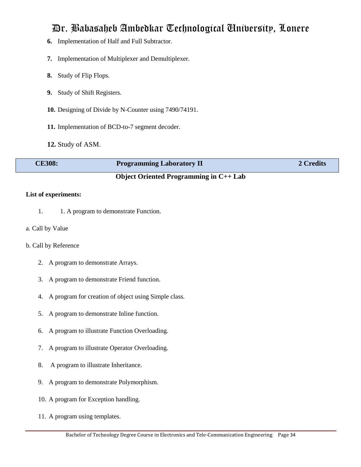- **6.** Implementation of Half and Full Subtractor.
- **7.** Implementation of Multiplexer and Demultiplexer.
- **8.** Study of Flip Flops.
- **9.** Study of Shift Registers.
- **10.** Designing of Divide by N-Counter using 7490/74191.
- **11.** Implementation of BCD-to-7 segment decoder.
- **12.** Study of ASM.

| <b>CE308:</b> | <b>Programming Laboratory II</b> | 2 Credits |
|---------------|----------------------------------|-----------|
|               |                                  |           |

# **Object Oriented Programming in C++ Lab**

### **List of experiments:**

- 1.1. A program to demonstrate Function.
- a. Call by Value

### b. Call by Reference

- 2. A program to demonstrate Arrays.
- 3. A program to demonstrate Friend function.
- 4. A program for creation of object using Simple class.
- 5. A program to demonstrate Inline function.
- 6. A program to illustrate Function Overloading.
- 7. A program to illustrate Operator Overloading.
- 8. A program to illustrate Inheritance.
- 9. A program to demonstrate Polymorphism.
- 10. A program for Exception handling.
- 11. A program using templates.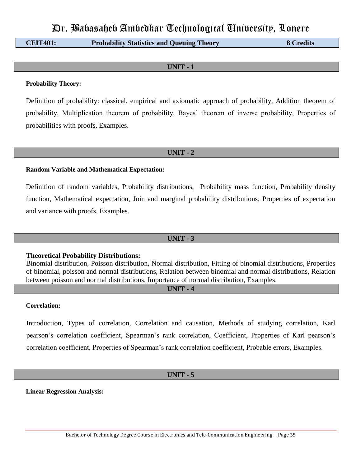**CEIT401: Probability Statistics and Queuing Theory 8 Credits**

# **UNIT - 1**

### **Probability Theory:**

Definition of probability: classical, empirical and axiomatic approach of probability, Addition theorem of probability, Multiplication theorem of probability, Bayes" theorem of inverse probability, Properties of probabilities with proofs, Examples.

### **UNIT - 2**

### **Random Variable and Mathematical Expectation:**

Definition of random variables, Probability distributions, Probability mass function, Probability density function, Mathematical expectation, Join and marginal probability distributions, Properties of expectation and variance with proofs, Examples.

# **UNIT - 3**

# **Theoretical Probability Distributions:**

Binomial distribution, Poisson distribution, Normal distribution, Fitting of binomial distributions, Properties of binomial, poisson and normal distributions, Relation between binomial and normal distributions, Relation between poisson and normal distributions, Importance of normal distribution, Examples.

# **UNIT - 4**

### **Correlation:**

Introduction, Types of correlation, Correlation and causation, Methods of studying correlation, Karl pearson"s correlation coefficient, Spearman"s rank correlation, Coefficient, Properties of Karl pearson"s correlation coefficient, Properties of Spearman"s rank correlation coefficient, Probable errors, Examples.

# **UNIT - 5**

**Linear Regression Analysis:**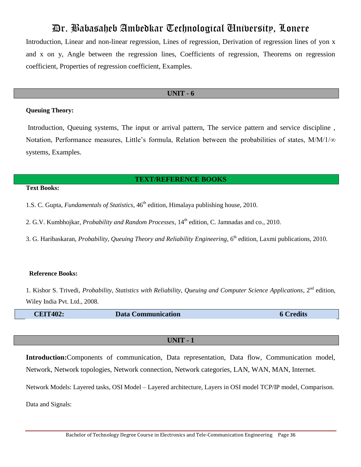Introduction, Linear and non-linear regression, Lines of regression, Derivation of regression lines of yon x and x on y, Angle between the regression lines, Coefficients of regression, Theorems on regression coefficient, Properties of regression coefficient, Examples.

#### **UNIT - 6**

### **Queuing Theory:**

Introduction, Queuing systems, The input or arrival pattern, The service pattern and service discipline , Notation, Performance measures, Little's formula, Relation between the probabilities of states,  $M/M/1/\infty$ systems, Examples.

#### **TEXT/REFERENCE BOOKS**

### **Text Books:**

1.S. C. Gupta, *Fundamentals of Statistics*, 46<sup>th</sup> edition, Himalaya publishing house, 2010.

2. G.V. Kumbhojkar, *Probability and Random Processes*, 14<sup>th</sup> edition, C. Jamnadas and co., 2010.

3. G. Haribaskaran, *Probability, Queuing Theory and Reliability Engineering*, 6<sup>th</sup> edition, Laxmi publications, 2010.

#### **Reference Books:**

1. Kishor S. Trivedi, *Probability, Statistics with Reliability, Queuing and Computer Science Applications*, 2<sup>nd</sup> edition, Wiley India Pvt. Ltd., 2008.

**CEIT402:** Data Communication 6 Credits

# **UNIT - 1**

**Introduction:**Components of communication, Data representation, Data flow, Communication model, Network, Network topologies, Network connection, Network categories, LAN, WAN, MAN, Internet.

Network Models: Layered tasks, OSI Model – Layered architecture, Layers in OSI model TCP/IP model, Comparison. Data and Signals: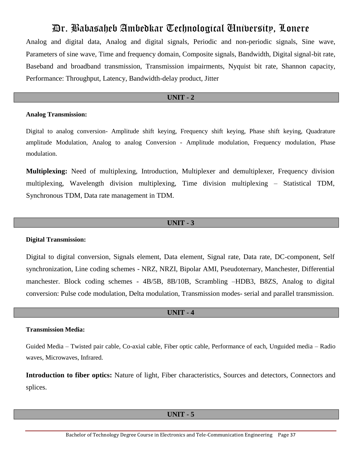Analog and digital data, Analog and digital signals, Periodic and non-periodic signals, Sine wave, Parameters of sine wave, Time and frequency domain, Composite signals, Bandwidth, Digital signal-bit rate, Baseband and broadband transmission, Transmission impairments, Nyquist bit rate, Shannon capacity, Performance: Throughput, Latency, Bandwidth-delay product, Jitter

# **UNIT - 2**

### **Analog Transmission:**

Digital to analog conversion- Amplitude shift keying, Frequency shift keying, Phase shift keying, Quadrature amplitude Modulation, Analog to analog Conversion - Amplitude modulation, Frequency modulation, Phase modulation.

**Multiplexing:** Need of multiplexing, Introduction, Multiplexer and demultiplexer, Frequency division multiplexing, Wavelength division multiplexing, Time division multiplexing – Statistical TDM, Synchronous TDM, Data rate management in TDM.

## **UNIT - 3**

## **Digital Transmission:**

Digital to digital conversion, Signals element, Data element, Signal rate, Data rate, DC-component, Self synchronization, Line coding schemes - NRZ, NRZI, Bipolar AMI, Pseudoternary, Manchester, Differential manchester. Block coding schemes - 4B/5B, 8B/10B, Scrambling –HDB3, B8ZS, Analog to digital conversion: Pulse code modulation, Delta modulation, Transmission modes- serial and parallel transmission.

## **UNIT - 4**

#### **Transmission Media:**

Guided Media – Twisted pair cable, Co-axial cable, Fiber optic cable, Performance of each, Unguided media – Radio waves, Microwaves, Infrared.

**Introduction to fiber optics:** Nature of light, Fiber characteristics, Sources and detectors, Connectors and splices.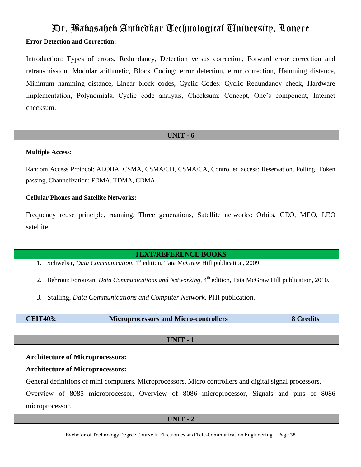# Dr. Babasaheb Ambedkar Technological University, Lonere **Error Detection and Correction:**

Introduction: Types of errors, Redundancy, Detection versus correction, Forward error correction and retransmission, Modular arithmetic, Block Coding: error detection, error correction, Hamming distance, Minimum hamming distance, Linear block codes, Cyclic Codes: Cyclic Redundancy check, Hardware implementation, Polynomials, Cyclic code analysis, Checksum: Concept, One"s component, Internet checksum.

# **UNIT - 6**

## **Multiple Access:**

Random Access Protocol: ALOHA, CSMA, CSMA/CD, CSMA/CA, Controlled access: Reservation, Polling, Token passing, Channelization: FDMA, TDMA, CDMA.

# **Cellular Phones and Satellite Networks:**

Frequency reuse principle, roaming, Three generations, Satellite networks: Orbits, GEO, MEO, LEO satellite.

# **TEXT/REFERENCE BOOKS**

- 1. Schweber, *Data Communication*, 1<sup>st</sup> edition, Tata McGraw Hill publication, 2009.
- 2. Behrouz Forouzan, *Data Communications and Networking*, 4<sup>th</sup> edition, Tata McGraw Hill publication, 2010.
- 3. Stalling, *Data Communications and Computer Network*, PHI publication.

| <b>CEIT403:</b> | <b>Microprocessors and Micro-controllers</b> | <b>8 Credits</b> |
|-----------------|----------------------------------------------|------------------|
|-----------------|----------------------------------------------|------------------|

**UNIT - 1**

# **Architecture of Microprocessors:**

# **Architecture of Microprocessors:**

General definitions of mini computers, Microprocessors, Micro controllers and digital signal processors.

Overview of 8085 microprocessor, Overview of 8086 microprocessor, Signals and pins of 8086 microprocessor.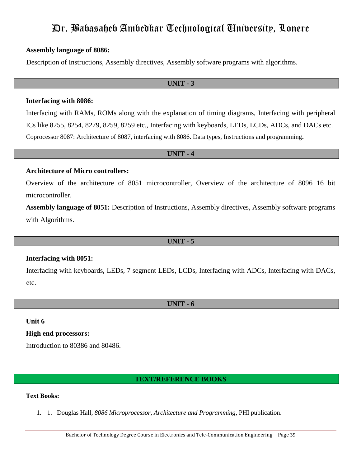# **Assembly language of 8086:**

Description of Instructions, Assembly directives, Assembly software programs with algorithms.

# **UNIT - 3**

## **Interfacing with 8086:**

Interfacing with RAMs, ROMs along with the explanation of timing diagrams, Interfacing with peripheral ICs like 8255, 8254, 8279, 8259, 8259 etc., Interfacing with keyboards, LEDs, LCDs, ADCs, and DACs etc. Coprocessor 8087: Architecture of 8087, interfacing with 8086. Data types, Instructions and programming**.**

# **UNIT - 4**

# **Architecture of Micro controllers:**

Overview of the architecture of 8051 microcontroller, Overview of the architecture of 8096 16 bit microcontroller.

**Assembly language of 8051:** Description of Instructions, Assembly directives, Assembly software programs with Algorithms.

# **UNIT - 5**

## **Interfacing with 8051:**

Interfacing with keyboards, LEDs, 7 segment LEDs, LCDs, Interfacing with ADCs, Interfacing with DACs, etc.

## **UNIT - 6**

## **Unit 6**

**High end processors:** 

Introduction to 80386 and 80486.

## **TEXT/REFERENCE BOOKS**

# **Text Books:**

1. 1. Douglas Hall, *8086 Microprocessor, Architecture and Programming*, PHI publication.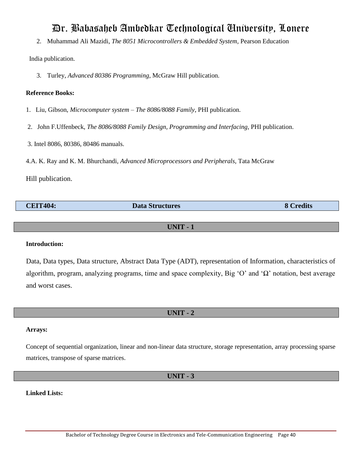2. Muhammad Ali Mazidi, *The 8051 Microcontrollers & Embedded System,* Pearson Education

India publication.

3. Turley, *Advanced 80386 Programming*, McGraw Hill publication.

# **Reference Books:**

- 1. Liu, Gibson, *Microcomputer system – The 8086/8088 Family*, PHI publication.
- 2. John F.Uffenbeck, *The 8086/8088 Family Design, Programming and Interfacing*, PHI publication.
- 3. Intel 8086, 80386, 80486 manuals.
- 4.A. K. Ray and K. M. Bhurchandi, *Advanced Microprocessors and Peripherals,* Tata McGraw

Hill publication.

| <b>CEIT404:</b> | <b>Data Structures</b> | <b>Tredits</b><br>ю |
|-----------------|------------------------|---------------------|
|                 |                        |                     |

# **UNIT - 1**

## **Introduction:**

Data, Data types, Data structure, Abstract Data Type (ADT), representation of Information, characteristics of algorithm, program, analyzing programs, time and space complexity, Big "O" and "Ω" notation, best average and worst cases.

# **UNIT - 2**

# **Arrays:**

Concept of sequential organization, linear and non-linear data structure, storage representation, array processing sparse matrices, transpose of sparse matrices.

**UNIT - 3**

## **Linked Lists:**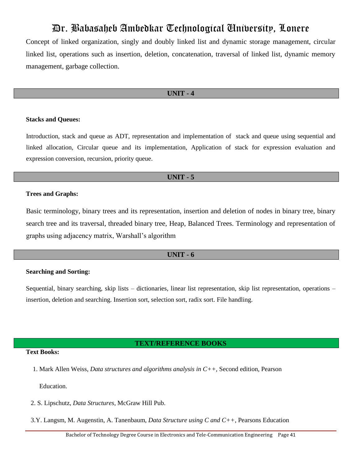Concept of linked organization, singly and doubly linked list and dynamic storage management, circular linked list, operations such as insertion, deletion, concatenation, traversal of linked list, dynamic memory management, garbage collection.

#### **UNIT - 4**

#### **Stacks and Queues:**

Introduction, stack and queue as ADT, representation and implementation of stack and queue using sequential and linked allocation, Circular queue and its implementation, Application of stack for expression evaluation and expression conversion, recursion, priority queue.

#### **UNIT - 5**

#### **Trees and Graphs:**

Basic terminology, binary trees and its representation, insertion and deletion of nodes in binary tree, binary search tree and its traversal, threaded binary tree, Heap, Balanced Trees. Terminology and representation of graphs using adjacency matrix, Warshall"s algorithm

## **UNIT - 6**

#### **Searching and Sorting:**

Sequential, binary searching, skip lists – dictionaries, linear list representation, skip list representation, operations – insertion, deletion and searching. Insertion sort, selection sort, radix sort. File handling.

#### **TEXT/REFERENCE BOOKS**

## **Text Books:**

1. Mark Allen Weiss, *Data structures and algorithms analysis in C++,* Second edition, Pearson

Education.

- 2. S. Lipschutz, *Data Structures,* McGraw Hill Pub.
- 3.Y. Langsm, M. Augenstin, A. Tanenbaum, *Data Structure using C and C++*, Pearsons Education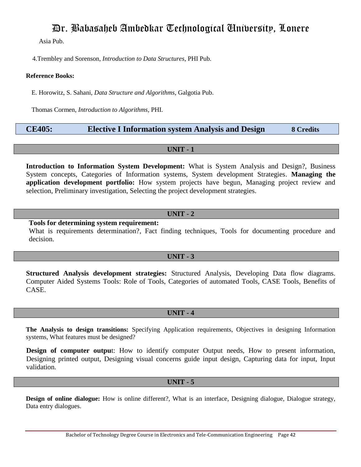Asia Pub.

4.Trembley and Sorenson, *Introduction to Data Structures*, PHI Pub.

## **Reference Books:**

E. Horowitz, S. Sahani, *Data Structure and Algorithms*, Galgotia Pub.

Thomas Cormen, *Introduction to Algorithms*, PHI.

# **CE405: Elective I Information system Analysis and Design 8 Credits**

**UNIT - 1**

**Introduction to Information System Development:** What is System Analysis and Design?, Business System concepts, Categories of Information systems, System development Strategies. **Managing the application development portfolio:** How system projects have begun, Managing project review and selection, Preliminary investigation, Selecting the project development strategies.

# **UNIT - 2**

**Tools for determining system requirement:** 

What is requirements determination?, Fact finding techniques, Tools for documenting procedure and decision.

# **UNIT - 3**

**Structured Analysis development strategies:** Structured Analysis, Developing Data flow diagrams. Computer Aided Systems Tools: Role of Tools, Categories of automated Tools, CASE Tools, Benefits of CASE.

# **UNIT - 4**

**The Analysis to design transitions:** Specifying Application requirements, Objectives in designing Information systems, What features must be designed?

**Design of computer output:** How to identify computer Output needs, How to present information, Designing printed output, Designing visual concerns guide input design, Capturing data for input, Input validation.

## **UNIT - 5**

**Design of online dialogue:** How is online different?, What is an interface, Designing dialogue, Dialogue strategy, Data entry dialogues.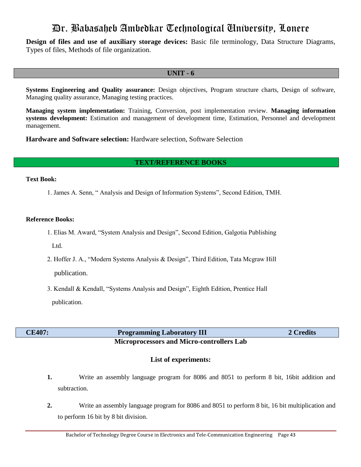**Design of files and use of auxiliary storage devices:** Basic file terminology, Data Structure Diagrams, Types of files, Methods of file organization.

## **UNIT - 6**

**Systems Engineering and Quality assurance:** Design objectives, Program structure charts, Design of software, Managing quality assurance, Managing testing practices.

**Managing system implementation:** Training, Conversion, post implementation review. **Managing information systems development:** Estimation and management of development time, Estimation, Personnel and development management.

**Hardware and Software selection:** Hardware selection, Software Selection

# **TEXT/REFERENCE BOOKS**

#### **Text Book:**

1. James A. Senn, " Analysis and Design of Information Systems", Second Edition, TMH.

### **Reference Books:**

- 1. Elias M. Award, "System Analysis and Design", Second Edition, Galgotia Publishing Ltd.
- 2. Hoffer J. A., "Modern Systems Analysis & Design", Third Edition, Tata Mcgraw Hill publication.
- 3. Kendall & Kendall, "Systems Analysis and Design", Eighth Edition, Prentice Hall publication.

| <b>CE407:</b> |
|---------------|
|---------------|

# **Programming Laboratory III** 2 Credits

# **Microprocessors and Micro-controllers Lab**

# **List of experiments:**

- **1.** Write an assembly language program for 8086 and 8051 to perform 8 bit, 16bit addition and subtraction.
- **2.** Write an assembly language program for 8086 and 8051 to perform 8 bit, 16 bit multiplication and to perform 16 bit by 8 bit division.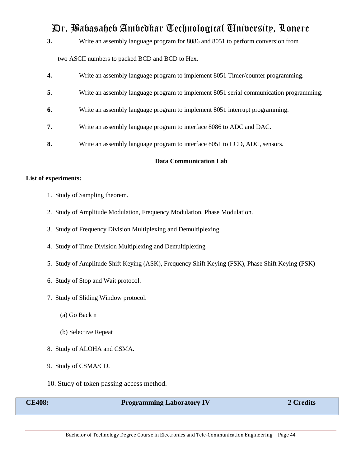**3.** Write an assembly language program for 8086 and 8051 to perform conversion from

two ASCII numbers to packed BCD and BCD to Hex.

| 4. | Write an assembly language program to implement 8051 Timer/counter programming.        |
|----|----------------------------------------------------------------------------------------|
| 5. | Write an assembly language program to implement 8051 serial communication programming. |
| 6. | Write an assembly language program to implement 8051 interrupt programming.            |
| 7. | Write an assembly language program to interface 8086 to ADC and DAC.                   |
| 8. | Write an assembly language program to interface 8051 to LCD, ADC, sensors.             |

## **Data Communication Lab**

# **List of experiments:**

- 1. Study of Sampling theorem.
- 2. Study of Amplitude Modulation, Frequency Modulation, Phase Modulation.
- 3. Study of Frequency Division Multiplexing and Demultiplexing.
- 4. Study of Time Division Multiplexing and Demultiplexing
- 5. Study of Amplitude Shift Keying (ASK), Frequency Shift Keying (FSK), Phase Shift Keying (PSK)
- 6. Study of Stop and Wait protocol.
- 7. Study of Sliding Window protocol.
	- (a) Go Back n
	- (b) Selective Repeat
- 8. Study of ALOHA and CSMA.
- 9. Study of CSMA/CD.
- 10. Study of token passing access method.

| <b>Programming Laboratory IV</b> | 2 Credits |
|----------------------------------|-----------|
|                                  |           |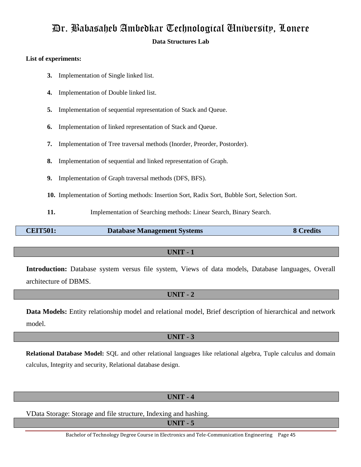# Dr. Babasaheb Ambedkar Technological University, Lonere **Data Structures Lab**

# **List of experiments:**

- **3.** Implementation of Single linked list.
- **4.** Implementation of Double linked list.
- **5.** Implementation of sequential representation of Stack and Queue.
- **6.** Implementation of linked representation of Stack and Queue.
- **7.** Implementation of Tree traversal methods (Inorder, Preorder, Postorder).
- **8.** Implementation of sequential and linked representation of Graph.
- **9.** Implementation of Graph traversal methods (DFS, BFS).
- **10.** Implementation of Sorting methods: Insertion Sort, Radix Sort, Bubble Sort, Selection Sort.
- **11.** Implementation of Searching methods: Linear Search, Binary Search.

**CEIT501: Database Management Systems 8 Credits**

# **UNIT - 1**

Introduction: Database system versus file system, Views of data models, Database languages, Overall architecture of DBMS.

## **UNIT - 2**

**Data Models:** Entity relationship model and relational model, Brief description of hierarchical and network model.

# **UNIT - 3**

**Relational Database Model:** SQL and other relational languages like relational algebra, Tuple calculus and domain calculus, Integrity and security, Relational database design.

# **UNIT - 4**

VData Storage: Storage and file structure, Indexing and hashing.

**UNIT - 5**

Bachelor of Technology Degree Course in Electronics and Tele-Communication Engineering Page 45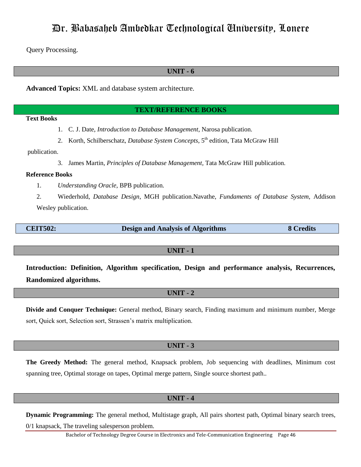Query Processing.

# **UNIT - 6**

**Advanced Topics:** XML and database system architecture.

#### **TEXT/REFERENCE BOOKS**

## **Text Books**

- 1. C. J. Date, *Introduction to Database Management*, Narosa publication.
- 2. Korth, Schilberschatz, *Database System Concepts*, 5<sup>th</sup> edition, Tata McGraw Hill

### publication.

3. James Martin, *Principles of Database Management,* Tata McGraw Hill publication.

#### **Reference Books**

- 1. *Understanding Oracle*, BPB publication.
- 2. Wiederhold, *Database Design*, MGH publication.Navathe, *Fundaments of Database System*, Addison Wesley publication.

| <b>CEIT502:</b> | <b>Design and Analysis of Algorithms</b> | 8 Credits |
|-----------------|------------------------------------------|-----------|
|                 |                                          |           |

### **UNIT - 1**

**Introduction: Definition, Algorithm specification, Design and performance analysis, Recurrences, Randomized algorithms.**

## **UNIT - 2**

**Divide and Conquer Technique:** General method, Binary search, Finding maximum and minimum number, Merge sort, Quick sort, Selection sort, Strassen's matrix multiplication.

## **UNIT - 3**

**The Greedy Method:** The general method, Knapsack problem, Job sequencing with deadlines, Minimum cost spanning tree, Optimal storage on tapes, Optimal merge pattern, Single source shortest path..

## **UNIT - 4**

**Dynamic Programming:** The general method, Multistage graph, All pairs shortest path, Optimal binary search trees, 0/1 knapsack, The traveling salesperson problem.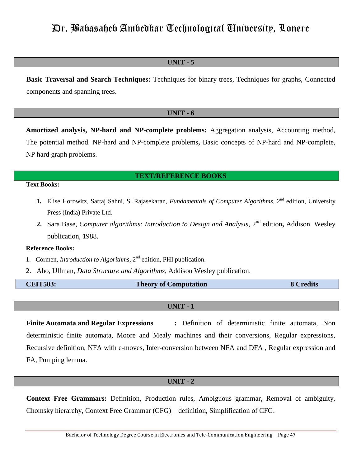# **UNIT - 5**

**Basic Traversal and Search Techniques:** Techniques for binary trees, Techniques for graphs, Connected components and spanning trees.

## **UNIT - 6**

**Amortized analysis, NP-hard and NP-complete problems:** Aggregation analysis, Accounting method, The potential method. NP-hard and NP-complete problems**,** Basic concepts of NP-hard and NP-complete, NP hard graph problems.

# **TEXT/REFERENCE BOOKS**

# **Text Books:**

- 1. Elise Horowitz, Sartaj Sahni, S. Rajasekaran, *Fundamentals of Computer Algorithms*, 2<sup>nd</sup> edition, University Press (India) Private Ltd.
- 2. Sara Base, *Computer algorithms: Introduction to Design and Analysis*, 2<sup>nd</sup> edition, Addison Wesley publication, 1988.

#### **Reference Books:**

- 1. Cormen, *Introduction to Algorithms*, 2<sup>nd</sup> edition, PHI publication.
- 2. Aho, Ullman, *Data Structure and Algorithms*, Addison Wesley publication.

| <b>CEIT503:</b> | <b>Theory of Computation</b> | <b>8 Credits</b> |
|-----------------|------------------------------|------------------|
|                 |                              |                  |

### **UNIT - 1**

**Finite Automata and Regular Expressions :** Definition of deterministic finite automata, Non deterministic finite automata, Moore and Mealy machines and their conversions, Regular expressions, Recursive definition, NFA with e-moves, Inter-conversion between NFA and DFA , Regular expression and FA, Pumping lemma.

#### **UNIT - 2**

**Context Free Grammars:** Definition, Production rules, Ambiguous grammar, Removal of ambiguity, Chomsky hierarchy, Context Free Grammar (CFG) – definition, Simplification of CFG.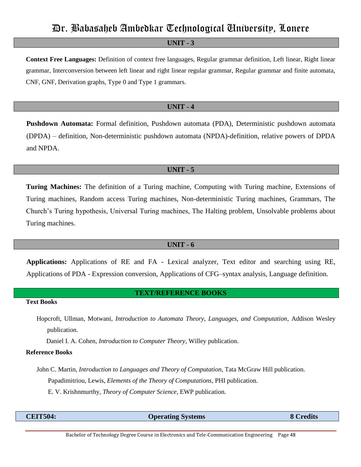# **UNIT - 3**

**Context Free Languages:** Definition of context free languages, Regular grammar definition, Left linear, Right linear grammar, Interconversion between left linear and right linear regular grammar, Regular grammar and finite automata, CNF, GNF, Derivation graphs, Type 0 and Type 1 grammars.

#### **UNIT - 4**

**Pushdown Automata:** Formal definition, Pushdown automata (PDA), Deterministic pushdown automata (DPDA) – definition, Non-deterministic pushdown automata (NPDA)-definition, relative powers of DPDA and NPDA.

### **UNIT - 5**

**Turing Machines:** The definition of a Turing machine, Computing with Turing machine, Extensions of Turing machines, Random access Turing machines, Non-deterministic Turing machines, Grammars, The Church"s Turing hypothesis, Universal Turing machines, The Halting problem, Unsolvable problems about Turing machines.

#### **UNIT - 6**

**Applications:** Applications of RE and FA - Lexical analyzer, Text editor and searching using RE, Applications of PDA - Expression conversion, Applications of CFG–syntax analysis, Language definition.

# **TEXT/REFERENCE BOOKS**

# **Text Books**

Hopcroft, Ullman, Motwani, *Introduction to Automata Theory, Languages, and Computation*, Addison Wesley publication.

Daniel I. A. Cohen, *Introduction to Computer Theory*, Willey publication.

#### **Reference Books**

- John C. Martin, *Introduction to Languages and Theory of Computation*, Tata McGraw Hill publication. Papadimitriou, Lewis, *Elements of the Theory of Computations*, PHI publication.
	- E. V. Krishnmurthy, *Theory of Computer Science*, EWP publication.

| <b>CEIT504:</b> | <b>Operating Systems</b> | $\alpha$ redits |
|-----------------|--------------------------|-----------------|
|                 |                          |                 |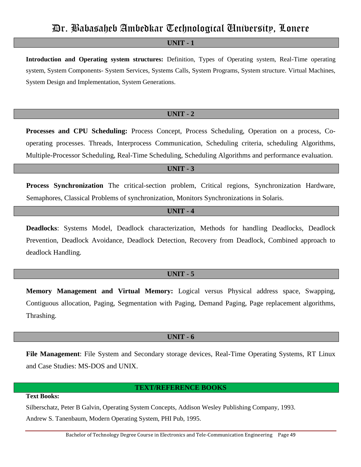# **UNIT - 1**

**Introduction and Operating system structures:** Definition, Types of Operating system, Real-Time operating system, System Components- System Services, Systems Calls, System Programs, System structure. Virtual Machines, System Design and Implementation, System Generations.

### **UNIT - 2**

**Processes and CPU Scheduling:** Process Concept, Process Scheduling, Operation on a process, Cooperating processes. Threads, Interprocess Communication, Scheduling criteria, scheduling Algorithms, Multiple-Processor Scheduling, Real-Time Scheduling, Scheduling Algorithms and performance evaluation.

# **UNIT - 3**

**Process Synchronization** The critical-section problem, Critical regions, Synchronization Hardware, Semaphores, Classical Problems of synchronization, Monitors Synchronizations in Solaris.

# **UNIT - 4**

**Deadlocks**: Systems Model, Deadlock characterization, Methods for handling Deadlocks, Deadlock Prevention, Deadlock Avoidance, Deadlock Detection, Recovery from Deadlock, Combined approach to deadlock Handling.

## **UNIT - 5**

**Memory Management and Virtual Memory:** Logical versus Physical address space, Swapping, Contiguous allocation, Paging, Segmentation with Paging, Demand Paging, Page replacement algorithms, Thrashing.

## **UNIT - 6**

**File Management**: File System and Secondary storage devices, Real-Time Operating Systems, RT Linux and Case Studies: MS-DOS and UNIX.

### **TEXT/REFERENCE BOOKS**

# **Text Books:**

Silberschatz, Peter B Galvin, Operating System Concepts, Addison Wesley Publishing Company, 1993. Andrew S. Tanenbaum, Modern Operating System, PHI Pub, 1995.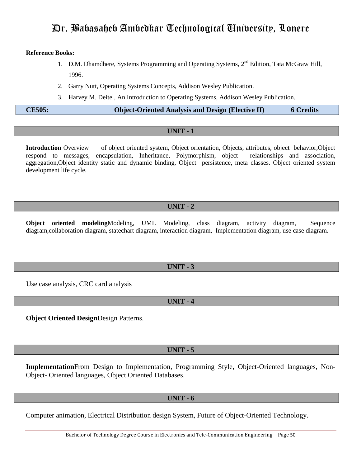### **Reference Books:**

- 1. D.M. Dhamdhere, Systems Programming and Operating Systems, 2<sup>nd</sup> Edition, Tata McGraw Hill, 1996.
- 2. Garry Nutt, Operating Systems Concepts, Addison Wesley Publication.
- 3. Harvey M. Deitel, An Introduction to Operating Systems, Addison Wesley Publication.

# **CE505: Object-Oriented Analysis and Design (Elective II) 6 Credits**

# **UNIT - 1**

**Introduction** Overview of object oriented system, Object orientation, Objects, attributes, object behavior,Object respond to messages, encapsulation, Inheritance, Polymorphism, object relationships and association, aggregation,Object identity static and dynamic binding, Object persistence, meta classes. Object oriented system development life cycle.

# **UNIT - 2**

**Object oriented modeling**Modeling, UML Modeling, class diagram, activity diagram, Sequence diagram,collaboration diagram, statechart diagram, interaction diagram, Implementation diagram, use case diagram.

# **UNIT - 3**

Use case analysis, CRC card analysis

# **UNIT - 4**

**Object Oriented Design**Design Patterns.

# **UNIT - 5**

**Implementation**From Design to Implementation, Programming Style, Object-Oriented languages, Non-Object- Oriented languages, Object Oriented Databases.

# **UNIT - 6**

Computer animation, Electrical Distribution design System, Future of Object-Oriented Technology.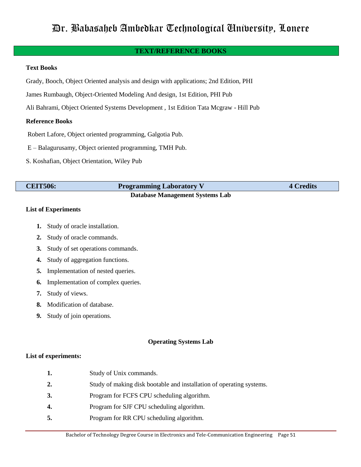# **TEXT/REFERENCE BOOKS**

### **Text Books**

Grady, Booch, Object Oriented analysis and design with applications; 2nd Edition, PHI

James Rumbaugh, Object-Oriented Modeling And design, 1st Edition, PHI Pub

Ali Bahrami, Object Oriented Systems Development , 1st Edition Tata Mcgraw - Hill Pub

## **Reference Books**

Robert Lafore, Object oriented programming, Galgotia Pub.

E – Balagurusamy, Object oriented programming, TMH Pub.

S. Koshafian, Object Orientation, Wiley Pub

| <b>CEIT506:</b> | <b>Programming Laboratory V</b> | <b>4 Credits</b> |
|-----------------|---------------------------------|------------------|
|                 | Dotabase Managament Systems Lab |                  |

#### **Database Management Systems Lab**

## **List of Experiments**

- **1.** Study of oracle installation.
- **2.** Study of oracle commands.
- **3.** Study of set operations commands.
- **4.** Study of aggregation functions.
- **5.** Implementation of nested queries.
- **6.** Implementation of complex queries.
- **7.** Study of views.
- **8.** Modification of database.
- **9.** Study of join operations.

## **Operating Systems Lab**

## **List of experiments:**

| 1. | Study of Unix commands.                                              |
|----|----------------------------------------------------------------------|
| 2. | Study of making disk bootable and installation of operating systems. |
| 3. | Program for FCFS CPU scheduling algorithm.                           |
| 4. | Program for SJF CPU scheduling algorithm.                            |
| 5. | Program for RR CPU scheduling algorithm.                             |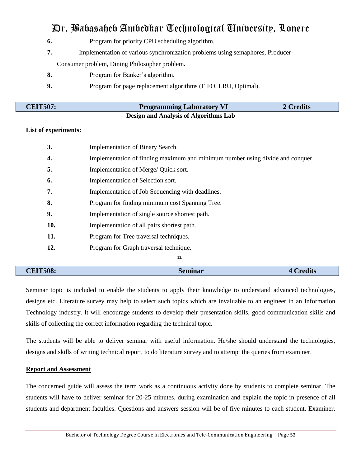- **6.** Program for priority CPU scheduling algorithm.
- **7.** Implementation of various synchronization problems using semaphores, Producer- Consumer problem, Dining Philosopher problem.
- **8.** Program for Banker"s algorithm.
- **9.** Program for page replacement algorithms (FIFO, LRU, Optimal).

| <b>CEIT507:</b> | <b>Programming Laboratory VI</b>             | 2 Credits |
|-----------------|----------------------------------------------|-----------|
|                 | <b>Design and Analysis of Algorithms Lab</b> |           |

# **List of experiments:**

| <b>CEIT508:</b> | <b>Seminar</b><br><b>4 Credits</b>                                             |  |
|-----------------|--------------------------------------------------------------------------------|--|
|                 | 13.                                                                            |  |
| 12.             | Program for Graph traversal technique.                                         |  |
| 11.             | Program for Tree traversal techniques.                                         |  |
| 10.             | Implementation of all pairs shortest path.                                     |  |
| 9.              | Implementation of single source shortest path.                                 |  |
| 8.              | Program for finding minimum cost Spanning Tree.                                |  |
| 7.              | Implementation of Job Sequencing with deadlines.                               |  |
| 6.              | Implementation of Selection sort.                                              |  |
| 5.              | Implementation of Merge/ Quick sort.                                           |  |
| 4.              | Implementation of finding maximum and minimum number using divide and conquer. |  |
| 3.              | Implementation of Binary Search.                                               |  |
|                 |                                                                                |  |

Seminar topic is included to enable the students to apply their knowledge to understand advanced technologies, designs etc. Literature survey may help to select such topics which are invaluable to an engineer in an Information Technology industry. It will encourage students to develop their presentation skills, good communication skills and skills of collecting the correct information regarding the technical topic.

The students will be able to deliver seminar with useful information. He/she should understand the technologies, designs and skills of writing technical report, to do literature survey and to attempt the queries from examiner.

## **Report and Assessment**

The concerned guide will assess the term work as a continuous activity done by students to complete seminar. The students will have to deliver seminar for 20-25 minutes, during examination and explain the topic in presence of all students and department faculties. Questions and answers session will be of five minutes to each student. Examiner,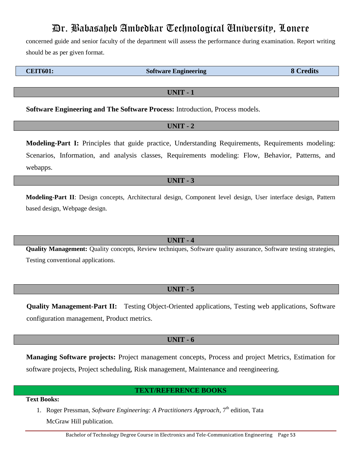concerned guide and senior faculty of the department will assess the performance during examination. Report writing should be as per given format.

**CEIT601: Software Engineering 8 Credits**

**UNIT - 1**

**Software Engineering and The Software Process:** Introduction, Process models.

# **UNIT - 2**

**Modeling-Part I:** Principles that guide practice, Understanding Requirements, Requirements modeling: Scenarios, Information, and analysis classes, Requirements modeling: Flow, Behavior, Patterns, and webapps.

# **UNIT - 3**

**Modeling-Part II**: Design concepts, Architectural design, Component level design, User interface design, Pattern based design, Webpage design.

## **UNIT - 4**

**Quality Management:** Quality concepts, Review techniques, Software quality assurance, Software testing strategies, Testing conventional applications.

# **UNIT - 5**

**Quality Management-Part II:** Testing Object-Oriented applications, Testing web applications, Software configuration management, Product metrics.

# **UNIT - 6**

**Managing Software projects:** Project management concepts, Process and project Metrics, Estimation for software projects, Project scheduling, Risk management, Maintenance and reengineering.

# **TEXT/REFERENCE BOOKS**

**Text Books:**

1. Roger Pressman, *Software Engineering: A Practitioners Approach*, 7<sup>th</sup> edition, Tata McGraw Hill publication.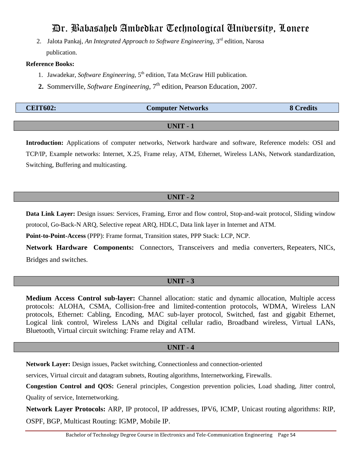2. Jalota Pankaj, *An Integrated Approach to Software Engineering*, 3rd edition, Narosa publication.

### **Reference Books:**

- 1. Jawadekar, *Software Engineering*, 5<sup>th</sup> edition, Tata McGraw Hill publication.
- **2.** Sommerville, *Software Engineering*,  $7<sup>th</sup>$  edition, Pearson Education, 2007.

| <b>CEIT602:</b> | <b>Computer Networks</b> | <b>Predits</b> |
|-----------------|--------------------------|----------------|
|                 |                          |                |

# **UNIT - 1**

**Introduction:** Applications of computer networks, Network hardware and software, Reference models: OSI and TCP/IP, Example networks: Internet, X.25, Frame relay, ATM, Ethernet, Wireless LANs, Network standardization, Switching, Buffering and multicasting.

# **UNIT - 2**

**Data Link Layer:** Design issues: Services, Framing, Error and flow control, Stop-and-wait protocol, Sliding window protocol, Go-Back-N ARQ, Selective repeat ARQ, HDLC, Data link layer in Internet and ATM.

**Point-to-Point-Access** (PPP): Frame format, Transition states, PPP Stack: LCP, NCP.

**Network Hardware Components:** Connectors, Transceivers and media converters, Repeaters, NICs, Bridges and switches.

# **UNIT - 3**

**Medium Access Control sub-layer:** Channel allocation: static and dynamic allocation, Multiple access protocols: ALOHA, CSMA, Collision-free and limited-contention protocols, WDMA, Wireless LAN protocols, Ethernet: Cabling, Encoding, MAC sub-layer protocol, Switched, fast and gigabit Ethernet, Logical link control, Wireless LANs and Digital cellular radio, Broadband wireless, Virtual LANs, Bluetooth, Virtual circuit switching: Frame relay and ATM.

## **UNIT - 4**

**Network Layer:** Design issues, Packet switching, Connectionless and connection-oriented

services, Virtual circuit and datagram subnets, Routing algorithms, Internetworking, Firewalls.

**Congestion Control and QOS:** General principles, Congestion prevention policies, Load shading, Jitter control, Quality of service, Internetworking.

**Network Layer Protocols:** ARP, IP protocol, IP addresses, IPV6, ICMP, Unicast routing algorithms: RIP, OSPF, BGP, Multicast Routing: IGMP, Mobile IP.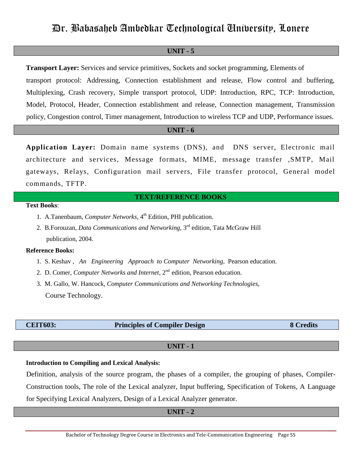## **UNIT - 5**

**Transport Layer:** Services and service primitives, Sockets and socket programming, Elements of transport protocol: Addressing, Connection establishment and release, Flow control and buffering, Multiplexing, Crash recovery, Simple transport protocol, UDP: Introduction, RPC, TCP: Introduction, Model, Protocol, Header, Connection establishment and release, Connection management, Transmission policy, Congestion control, Timer management, Introduction to wireless TCP and UDP, Performance issues.

# **UNIT - 6**

**Application Layer:** Domain name systems (DNS), and DNS server, Electronic mail architecture and services, Message formats, MIME, message transfer ,SMTP, Mail gateways, Relays, Configuration mail servers, File transfer protocol, General model commands, TFTP.

### **TEXT/REFERENCE BOOKS**

# **Text Books**:

- 1. A.Tanenbaum, *Computer Networks*, 4<sup>th</sup> Edition, PHI publication.
- 2. B.Forouzan, *Data Communications and Networking*, 3rd edition, Tata McGraw Hill publication, 2004.

#### **Reference Books:**

- 1. S. Keshav , *An Engineering Approach to Computer Networking*, Pearson education.
- 2. D. Comer, *Computer Networks and Internet*, 2<sup>nd</sup> edition, Pearson education.
- 3. M. Gallo, W. Hancock, *Computer Communications and Networking Technologies*, Course Technology.

| <b>CEIT603:</b> |  |  |
|-----------------|--|--|
|                 |  |  |

## **Principles of Compiler Design 8 Credits**

## **UNIT - 1**

# **Introduction to Compiling and Lexical Analysis:**

Definition, analysis of the source program, the phases of a compiler, the grouping of phases, Compiler-Construction tools, The role of the Lexical analyzer, Input buffering, Specification of Tokens, A Language for Specifying Lexical Analyzers, Design of a Lexical Analyzer generator.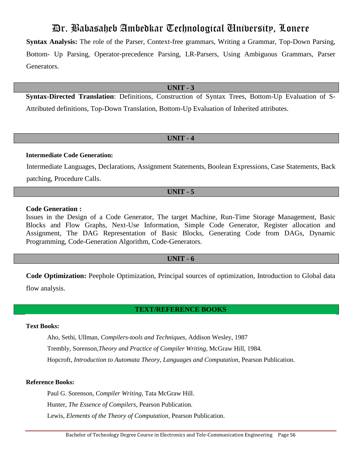**Syntax Analysis:** The role of the Parser, Context-free grammars, Writing a Grammar, Top-Down Parsing, Bottom- Up Parsing, Operator-precedence Parsing, LR-Parsers, Using Ambiguous Grammars, Parser Generators.

# **UNIT - 3**

**Syntax-Directed Translation**: Definitions, Construction of Syntax Trees, Bottom-Up Evaluation of S-Attributed definitions, Top-Down Translation, Bottom-Up Evaluation of Inherited attributes.

# **UNIT - 4**

### **Intermediate Code Generation:**

Intermediate Languages, Declarations, Assignment Statements, Boolean Expressions, Case Statements, Back patching, Procedure Calls.

### **UNIT - 5**

## **Code Generation :**

Issues in the Design of a Code Generator, The target Machine, Run-Time Storage Management, Basic Blocks and Flow Graphs, Next-Use Information, Simple Code Generator, Register allocation and Assignment, The DAG Representation of Basic Blocks, Generating Code from DAGs, Dynamic Programming, Code-Generation Algorithm, Code-Generators.

# **UNIT - 6**

**Code Optimization:** Peephole Optimization, Principal sources of optimization, Introduction to Global data flow analysis.

# **TEXT/REFERENCE BOOKS**

## **Text Books:**

Aho, Sethi, Ullman, *Compilers-tools and Techniques*, Addison Wesley, 1987 Trembly, Sorenson,*Theory and Practice of Compiler Writing*, McGraw Hill, 1984. Hopcroft, *Introduction to Automata Theory, Languages and Computation*, Pearson Publication.

#### **Reference Books:**

Paul G. Sorenson, *Compiler Writing,* Tata McGraw Hill.

Hunter, *The Essence of Compilers*, Pearson Publication.

Lewis, *Elements of the Theory of Computation*, Pearson Publication.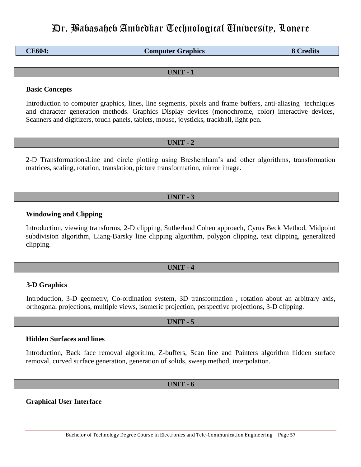| <b>CE604:</b> | <b>Computer Graphics</b> | <b>8 Credits</b> |
|---------------|--------------------------|------------------|
|---------------|--------------------------|------------------|

# **UNIT - 1**

## **Basic Concepts**

Introduction to computer graphics, lines, line segments, pixels and frame buffers, anti-aliasing techniques and character generation methods. Graphics Display devices (monochrome, color) interactive devices, Scanners and digitizers, touch panels, tablets, mouse, joysticks, trackball, light pen.

## **UNIT - 2**

2-D TransformationsLine and circle plotting using Breshemham"s and other algorithms, transformation matrices, scaling, rotation, translation, picture transformation, mirror image.

### **UNIT - 3**

## **Windowing and Clipping**

Introduction, viewing transforms, 2-D clipping, Sutherland Cohen approach, Cyrus Beck Method, Midpoint subdivision algorithm, Liang-Barsky line clipping algorithm, polygon clipping, text clipping, generalized clipping.

#### **UNIT - 4**

#### **3-D Graphics**

Introduction, 3-D geometry, Co-ordination system, 3D transformation , rotation about an arbitrary axis, orthogonal projections, multiple views, isomeric projection, perspective projections, 3-D clipping.

# **UNIT - 5**

# **Hidden Surfaces and lines**

Introduction, Back face removal algorithm, Z-buffers, Scan line and Painters algorithm hidden surface removal, curved surface generation, generation of solids, sweep method, interpolation.

## **UNIT - 6**

**Graphical User Interface**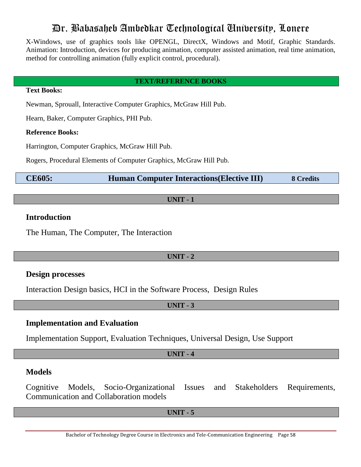X-Windows, use of graphics tools like OPENGL, DirectX, Windows and Motif, Graphic Standards. Animation: Introduction, devices for producing animation, computer assisted animation, real time animation, method for controlling animation (fully explicit control, procedural).

# **TEXT/REFERENCE BOOKS**

# **Text Books:**

Newman, Sprouall, Interactive Computer Graphics, McGraw Hill Pub.

Hearn, Baker, Computer Graphics, PHI Pub.

# **Reference Books:**

Harrington, Computer Graphics, McGraw Hill Pub.

Rogers, Procedural Elements of Computer Graphics, McGraw Hill Pub.

**CE605: Human Computer Interactions(Elective III) 8 Credits**

# **UNIT - 1**

# **Introduction**

The Human, The Computer, The Interaction

# **UNIT - 2**

# **Design processes**

Interaction Design basics, HCI in the Software Process, Design Rules

# **UNIT - 3**

# **Implementation and Evaluation**

Implementation Support, Evaluation Techniques, Universal Design, Use Support

# **UNIT - 4**

# **Models**

Cognitive Models, Socio-Organizational Issues and Stakeholders Requirements, Communication and Collaboration models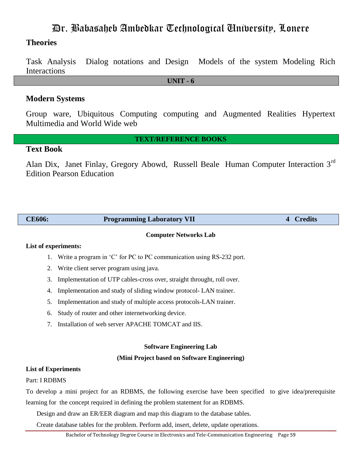# **Theories**

Task Analysis Dialog notations and Design Models of the system Modeling Rich Interactions

**UNIT - 6**

# **Modern Systems**

Group ware, Ubiquitous Computing computing and Augmented Realities Hypertext Multimedia and World Wide web

# **TEXT/REFERENCE BOOKS**

# **Text Book**

Alan Dix, Janet Finlay, Gregory Abowd, Russell Beale Human Computer Interaction 3rd Edition Pearson Education

| <b>CE606:</b> | <b>Programming Laboratory VII</b> | <b>Credits</b> |
|---------------|-----------------------------------|----------------|
|               |                                   |                |

## **Computer Networks Lab**

# **List of experiments:**

- 1. Write a program in "C" for PC to PC communication using RS-232 port.
- 2. Write client server program using java.
- 3. Implementation of UTP cables-cross over, straight throught, roll over.
- 4. Implementation and study of sliding window protocol- LAN trainer.
- 5. Implementation and study of multiple access protocols-LAN trainer.
- 6. Study of router and other internetworking device.
- 7. Installation of web server APACHE TOMCAT and IIS.

## **Software Engineering Lab**

## **(Mini Project based on Software Engineering)**

## **List of Experiments**

## Part: I RDBMS

To develop a mini project for an RDBMS, the following exercise have been specified to give idea/prerequisite learning for the concept required in defining the problem statement for an RDBMS.

Design and draw an ER/EER diagram and map this diagram to the database tables.

Create database tables for the problem. Perform add, insert, delete, update operations.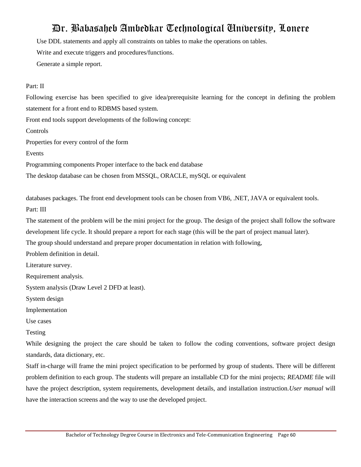Use DDL statements and apply all constraints on tables to make the operations on tables.

Write and execute triggers and procedures/functions.

Generate a simple report.

# Part: II

Following exercise has been specified to give idea/prerequisite learning for the concept in defining the problem statement for a front end to RDBMS based system.

Front end tools support developments of the following concept:

**Controls** 

Properties for every control of the form

Events

Programming components Proper interface to the back end database

The desktop database can be chosen from MSSQL, ORACLE, mySQL or equivalent

databases packages. The front end development tools can be chosen from VB6, .NET, JAVA or equivalent tools. Part: III

The statement of the problem will be the mini project for the group. The design of the project shall follow the software development life cycle. It should prepare a report for each stage (this will be the part of project manual later).

The group should understand and prepare proper documentation in relation with following,

Problem definition in detail.

Literature survey.

Requirement analysis.

System analysis (Draw Level 2 DFD at least).

System design

Implementation

Use cases

Testing

While designing the project the care should be taken to follow the coding conventions, software project design standards, data dictionary, etc.

Staff in-charge will frame the mini project specification to be performed by group of students. There will be different problem definition to each group. The students will prepare an installable CD for the mini projects; *README* file will have the project description, system requirements, development details, and installation instruction.*User manual* will have the interaction screens and the way to use the developed project.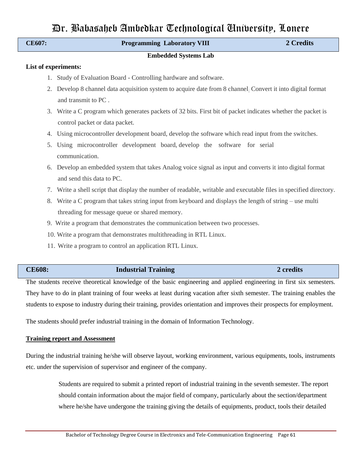| CE607:               | <b>Programming Laboratory VIII</b>                                                                              | 2 Credits |
|----------------------|-----------------------------------------------------------------------------------------------------------------|-----------|
|                      | <b>Embedded Systems Lab</b>                                                                                     |           |
| List of experiments: |                                                                                                                 |           |
| 1.                   | Study of Evaluation Board - Controlling hardware and software.                                                  |           |
| 2.                   | Develop 8 channel data acquisition system to acquire date from 8 channel. Convert it into digital format        |           |
|                      | and transmit to PC.                                                                                             |           |
| 3.                   | Write a C program which generates packets of 32 bits. First bit of packet indicates whether the packet is       |           |
|                      | control packet or data packet.                                                                                  |           |
| 4.                   | Using microcontroller development board, develop the software which read input from the switches.               |           |
| 5.                   | Using microcontroller development board, develop the software for serial                                        |           |
|                      | communication.                                                                                                  |           |
| 6.                   | Develop an embedded system that takes Analog voice signal as input and converts it into digital format          |           |
|                      | and send this data to PC.                                                                                       |           |
| 7.                   | Write a shell script that display the number of readable, writable and executable files in specified directory. |           |
| 8.                   | Write a C program that takes string input from keyboard and displays the length of string – use multi           |           |
|                      | threading for message queue or shared memory.                                                                   |           |
|                      | 9. Write a program that demonstrates the communication between two processes.                                   |           |
|                      | 10. Write a program that demonstrates multithreading in RTL Linux.                                              |           |
|                      | 11. Write a program to control an application RTL Linux.                                                        |           |
|                      |                                                                                                                 |           |
| <b>CE608:</b>        | <b>Industrial Training</b>                                                                                      | 2 credits |

The students receive theoretical knowledge of the basic engineering and applied engineering in first six semesters. They have to do in plant training of four weeks at least during vacation after sixth semester. The training enables the students to expose to industry during their training, provides orientation and improves their prospects for employment.

The students should prefer industrial training in the domain of Information Technology.

## **Training report and Assessment**

During the industrial training he/she will observe layout, working environment, various equipments, tools, instruments etc. under the supervision of supervisor and engineer of the company.

> Students are required to submit a printed report of industrial training in the seventh semester. The report should contain information about the major field of company, particularly about the section/department where he/she have undergone the training giving the details of equipments, product, tools their detailed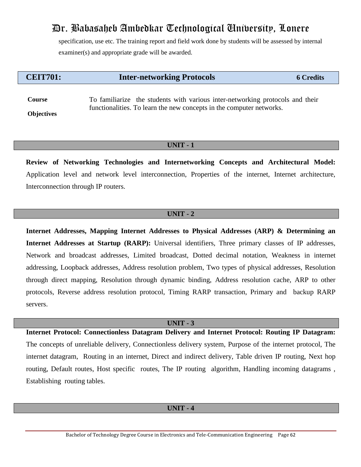specification, use etc. The training report and field work done by students will be assessed by internal examiner(s) and appropriate grade will be awarded.

# **CEIT701: Inter-networking Protocols 6 Credits**

**Course Objectives** To familiarize the students with various inter-networking protocols and their functionalities. To learn the new concepts in the computer networks.

# **UNIT - 1**

**Review of Networking Technologies and Internetworking Concepts and Architectural Model:** Application level and network level interconnection, Properties of the internet, Internet architecture, Interconnection through IP routers.

# **UNIT - 2**

**Internet Addresses, Mapping Internet Addresses to Physical Addresses (ARP) & Determining an Internet Addresses at Startup (RARP):** Universal identifiers, Three primary classes of IP addresses, Network and broadcast addresses, Limited broadcast, Dotted decimal notation, Weakness in internet addressing, Loopback addresses, Address resolution problem, Two types of physical addresses, Resolution through direct mapping, Resolution through dynamic binding, Address resolution cache, ARP to other protocols, Reverse address resolution protocol, Timing RARP transaction, Primary and backup RARP servers.

# **UNIT - 3**

**Internet Protocol: Connectionless Datagram Delivery and Internet Protocol: Routing IP Datagram:** The concepts of unreliable delivery, Connectionless delivery system, Purpose of the internet protocol, The internet datagram, Routing in an internet, Direct and indirect delivery, Table driven IP routing, Next hop routing, Default routes, Host specific routes, The IP routing algorithm, Handling incoming datagrams , Establishing routing tables.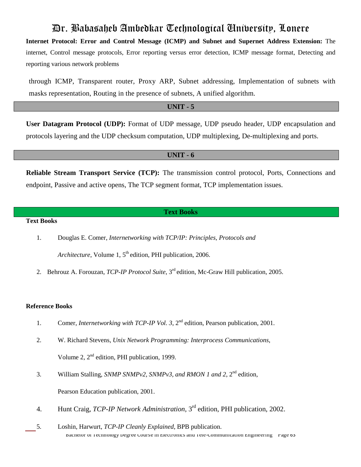**Internet Protocol: Error and Control Message (ICMP) and Subnet and Supernet Address Extension:** The internet, Control message protocols, Error reporting versus error detection, ICMP message format, Detecting and reporting various network problems

through ICMP, Transparent router, Proxy ARP, Subnet addressing, Implementation of subnets with masks representation, Routing in the presence of subnets, A unified algorithm.

**UNIT - 5**

**User Datagram Protocol (UDP):** Format of UDP message, UDP pseudo header, UDP encapsulation and protocols layering and the UDP checksum computation, UDP multiplexing, De-multiplexing and ports.

### **UNIT - 6**

**Reliable Stream Transport Service (TCP):** The transmission control protocol, Ports, Connections and endpoint, Passive and active opens, The TCP segment format, TCP implementation issues.

## **Text Books**

# **Text Books**

1. Douglas E. Comer, *Internetworking with TCP/IP: Principles, Protocols and* 

Architecture, Volume 1, 5<sup>th</sup> edition, PHI publication, 2006.

2. Behrouz A. Forouzan, *TCP-IP Protocol Suite*, 3<sup>rd</sup> edition, Mc-Graw Hill publication, 2005.

#### **Reference Books**

- 1. Comer, *Internetworking with TCP-IP Vol.* 3, 2<sup>nd</sup> edition, Pearson publication, 2001.
- 2. W. Richard Stevens, *Unix Network Programming: Interprocess Communications*, Volume 2,  $2<sup>nd</sup>$  edition, PHI publication, 1999.
- 3. William Stalling, *SNMP SNMPv2, SNMPv3, and RMON 1 and 2*, 2 nd edition, Pearson Education publication, 2001.
- 4. Hunt Craig, *TCP-IP Network Administration*, 3 rd edition, PHI publication, 2002.
- Bachelor of Technology Degree Course in Electronics and Tele-Communication Engineering Page 63 5. Loshin, Harwurt, *TCP-IP Cleanly Explained*, BPB publication.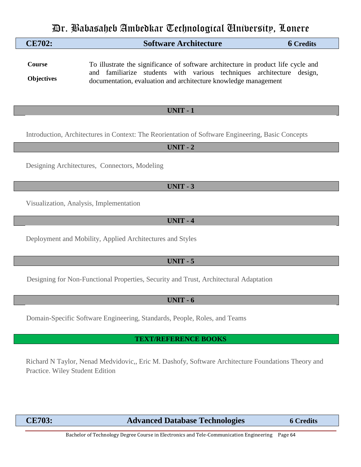| CE702: | <b>Software Architecture</b> | <b>6 Credits</b> |
|--------|------------------------------|------------------|
|        |                              |                  |

**Course Objectives** To illustrate the significance of software architecture in product life cycle and and familiarize students with various techniques architecture design, documentation, evaluation and architecture knowledge management

# **UNIT - 1**

Introduction, Architectures in Context: The Reorientation of Software Engineering, Basic Concepts

**UNIT - 2**

Designing Architectures, Connectors, Modeling

**UNIT - 3**

Visualization, Analysis, Implementation

**UNIT - 4**

Deployment and Mobility, Applied Architectures and Styles

# **UNIT - 5**

Designing for Non-Functional Properties, Security and Trust, Architectural Adaptation

# **UNIT - 6**

Domain-Specific Software Engineering, Standards, People, Roles, and Teams

# **TEXT/REFERENCE BOOKS**

Richard N Taylor, Nenad Medvidovic,, Eric M. Dashofy, Software Architecture Foundations Theory and Practice. Wiley Student Edition

# **CE703: Advanced Database Technologies 6 Credits**

Bachelor of Technology Degree Course in Electronics and Tele-Communication Engineering Page 64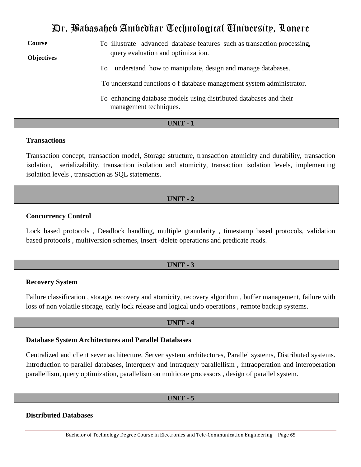**Course Objectives** To illustrate advanced database features such as transaction processing, query evaluation and optimization. To understand how to manipulate, design and manage databases. To understand functions o f database management system administrator. To enhancing database models using distributed databases and their management techniques.

# **UNIT - 1**

# **Transactions**

Transaction concept, transaction model, Storage structure, transaction atomicity and durability, transaction isolation, serializability, transaction isolation and atomicity, transaction isolation levels, implementing isolation levels , transaction as SQL statements.

# **UNIT - 2**

# **Concurrency Control**

Lock based protocols , Deadlock handling, multiple granularity , timestamp based protocols, validation based protocols , multiversion schemes, Insert -delete operations and predicate reads.

# **UNIT - 3**

## **Recovery System**

Failure classification , storage, recovery and atomicity, recovery algorithm , buffer management, failure with loss of non volatile storage, early lock release and logical undo operations , remote backup systems.

## **UNIT - 4**

## **Database System Architectures and Parallel Databases**

Centralized and client sever architecture, Server system architectures, Parallel systems, Distributed systems. Introduction to parallel databases, interquery and intraquery parallellism , intraoperation and interoperation parallellism, query optimization, parallelism on multicore processors , design of parallel system.

# **UNIT - 5**

# **Distributed Databases**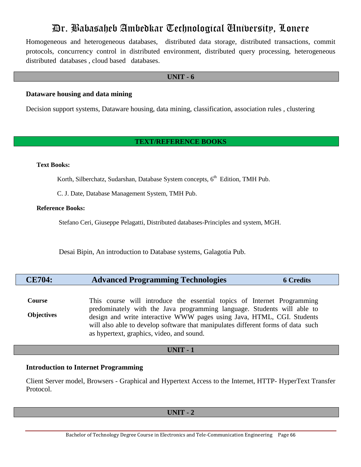Homogeneous and heterogeneous databases, distributed data storage, distributed transactions, commit protocols, concurrency control in distributed environment, distributed query processing, heterogeneous distributed databases , cloud based databases.

## **UNIT - 6**

# **Dataware housing and data mining**

Decision support systems, Dataware housing, data mining, classification, association rules , clustering

# **TEXT/REFERENCE BOOKS**

## **Text Books:**

Korth, Silberchatz, Sudarshan, Database System concepts, 6<sup>th</sup> Edition, TMH Pub.

C. J. Date, Database Management System, TMH Pub.

## **Reference Books:**

Stefano Ceri, Giuseppe Pelagatti, Distributed databases-Principles and system, MGH.

Desai Bipin, An introduction to Database systems, Galagotia Pub.

| <b>CE704:</b> | <b>Advanced Programming Technologies</b> | <b>6 Credits</b> |
|---------------|------------------------------------------|------------------|
|---------------|------------------------------------------|------------------|

**Course Objectives** This course will introduce the essential topics of Internet Programming predominately with the Java programming language. Students will able to design and write interactive WWW pages using Java, HTML, CGI. Students will also able to develop software that manipulates different forms of data such as hypertext, graphics, video, and sound.

# **UNIT - 1**

## **Introduction to Internet Programming**

Client Server model, Browsers - Graphical and Hypertext Access to the Internet, HTTP- HyperText Transfer Protocol.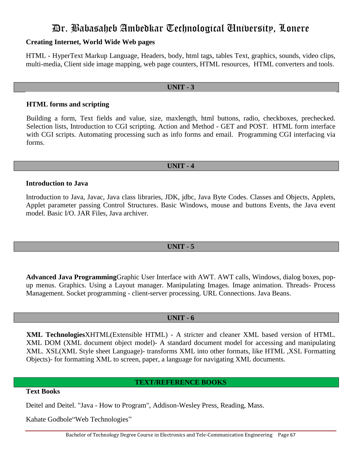# **Creating Internet, World Wide Web pages**

HTML - HyperText Markup Language, Headers, body, html tags, tables Text, graphics, sounds, video clips, multi-media, Client side image mapping, web page counters, HTML resources, HTML converters and tools.

# **UNIT - 3**

# **HTML forms and scripting**

Building a form, Text fields and value, size, maxlength, html buttons, radio, checkboxes, prechecked. Selection lists, Introduction to CGI scripting. Action and Method - GET and POST. HTML form interface with CGI scripts. Automating processing such as info forms and email. Programming CGI interfacing via forms.

# **UNIT - 4**

# **Introduction to Java**

Introduction to Java, Javac, Java class libraries, JDK, jdbc, Java Byte Codes. Classes and Objects, Applets, Applet parameter passing Control Structures. Basic Windows, mouse and buttons Events, the Java event model. Basic I/O. JAR Files, Java archiver.

# **UNIT - 5**

**Advanced Java Programming**Graphic User Interface with AWT. AWT calls, Windows, dialog boxes, popup menus. Graphics. Using a Layout manager. Manipulating Images. Image animation. Threads- Process Management. Socket programming - client-server processing. URL Connections. Java Beans.

# **UNIT - 6**

**XML Technologies**XHTML(Extensible HTML) - A stricter and cleaner XML based version of HTML. XML DOM (XML document object model)- A standard document model for accessing and manipulating XML. XSL(XML Style sheet Language)- transforms XML into other formats, like HTML ,XSL Formatting Objects)- for formatting XML to screen, paper, a language for navigating XML documents.

# **TEXT/REFERENCE BOOKS**

# **Text Books**

Deitel and Deitel. "Java - How to Program", Addison-Wesley Press, Reading, Mass.

Kahate Godbole"Web Technologies"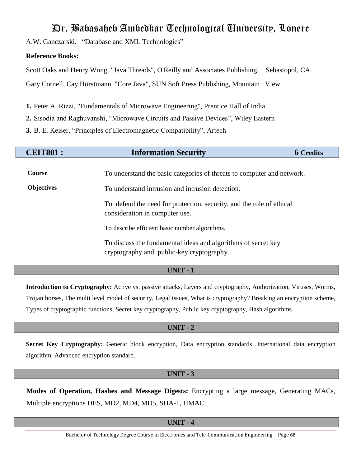A.W. Ganczarski. "Database and XML Technologies"

# **Reference Books:**

Scott Oaks and Henry Wong. "Java Threads", O'Reilly and Associates Publishing, Sebastopol, CA. Gary Cornell, Cay Horstmann. "Core Java", SUN Soft Press Publishing, Mountain View

- **1.** Peter A. Rizzi, "Fundamentals of Microwave Engineering", Prentice Hall of India
- **2.** Sisodia and Raghuvanshi, "Microwave Circuits and Passive Devices", Wiley Eastern
- **3.** B. E. Keiser, "Principles of Electromagnetic Compatibility", Artech

| <b>CEIT801:</b>             | <b>Information Security</b><br><b>6 Credits</b>                                                                            |  |  |
|-----------------------------|----------------------------------------------------------------------------------------------------------------------------|--|--|
| Course<br><b>Objectives</b> | To understand the basic categories of threats to computer and network.<br>To understand intrusion and intrusion detection. |  |  |
|                             | To defend the need for protection, security, and the role of ethical<br>consideration in computer use.                     |  |  |
|                             | To describe efficient basic number algorithms.                                                                             |  |  |
|                             | To discuss the fundamental ideas and algorithms of secret key<br>cryptography and public-key cryptography.                 |  |  |

# **UNIT - 1**

**Introduction to Cryptography:** Active vs. passive attacks, Layers and cryptography, Authorization, Viruses, Worms, Trojan horses, The multi level model of security, Legal issues, What is cryptography? Breaking an encryption scheme, Types of cryptographic functions, Secret key cryptography, Public key cryptography, Hash algorithms.

# **UNIT - 2**

**Secret Key Cryptography:** Generic block encryption, Data encryption standards, International data encryption algorithm, Advanced encryption standard.

# **UNIT - 3**

**Modes of Operation, Hashes and Message Digests:** Encrypting a large message, Generating MACs, Multiple encryptions DES, MD2, MD4, MD5, SHA-1, HMAC.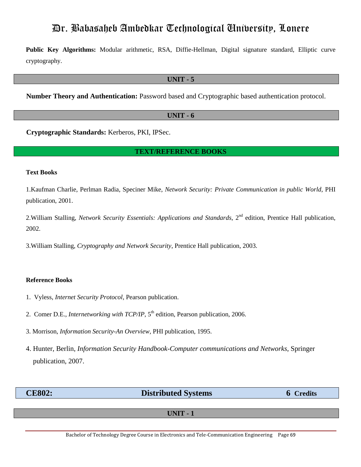**Public Key Algorithms:** Modular arithmetic, RSA, Diffie-Hellman, Digital signature standard, Elliptic curve cryptography.

### **UNIT - 5**

**Number Theory and Authentication:** Password based and Cryptographic based authentication protocol.

## **UNIT - 6**

**Cryptographic Standards:** Kerberos, PKI, IPSec.

## **TEXT/REFERENCE BOOKS**

### **Text Books**

1.Kaufman Charlie, Perlman Radia, Speciner Mike, *Network Security: Private Communication in public World*, PHI publication, 2001.

2.William Stalling, *Network Security Essentials: Applications and Standards*, 2 nd edition, Prentice Hall publication, 2002.

3.William Stalling, *Cryptography and Network Security*, Prentice Hall publication, 2003.

#### **Reference Books**

- 1. Vyless, *Internet Security Protocol*, Pearson publication.
- 2. Comer D.E., *Internetworking with TCP/IP*, 5 th edition, Pearson publication, 2006.
- 3. Morrison, *Information Security-An Overview,* PHI publication, 1995.
- 4. Hunter, Berlin, *Information Security Handbook-Computer communications and Networks*, Springer publication, 2007.

**CE802: Distributed Systems 6 Credits**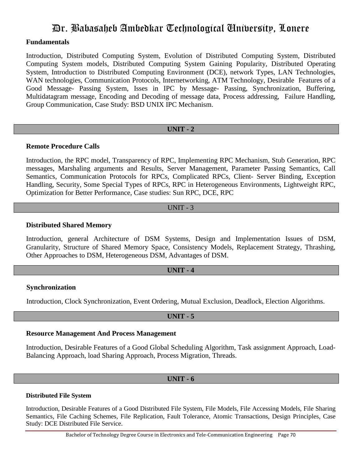# **Fundamentals**

Introduction, Distributed Computing System, Evolution of Distributed Computing System, Distributed Computing System models, Distributed Computing System Gaining Popularity, Distributed Operating System, Introduction to Distributed Computing Environment (DCE), network Types, LAN Technologies, WAN technologies, Communication Protocols, Internetworking, ATM Technology, Desirable Features of a Good Message- Passing System, Isses in IPC by Message- Passing, Synchronization, Buffering, Multidatagram message, Encoding and Decoding of message data, Process addressing, Failure Handling, Group Communication, Case Study: BSD UNIX IPC Mechanism.

# **UNIT - 2**

# **Remote Procedure Calls**

Introduction, the RPC model, Transparency of RPC, Implementing RPC Mechanism, Stub Generation, RPC messages, Marshaling arguments and Results, Server Management, Parameter Passing Semantics, Call Semantics, Communication Protocols for RPCs, Complicated RPCs, Client- Server Binding, Exception Handling, Security, Some Special Types of RPCs, RPC in Heterogeneous Environments, Lightweight RPC, Optimization for Better Performance, Case studies: Sun RPC, DCE, RPC

# UNIT - 3

# **Distributed Shared Memory**

Introduction, general Architecture of DSM Systems, Design and Implementation Issues of DSM, Granularity, Structure of Shared Memory Space, Consistency Models, Replacement Strategy, Thrashing, Other Approaches to DSM, Heterogeneous DSM, Advantages of DSM.

# **UNIT - 4**

# **Synchronization**

Introduction, Clock Synchronization, Event Ordering, Mutual Exclusion, Deadlock, Election Algorithms.

# **UNIT - 5**

# **Resource Management And Process Management**

Introduction, Desirable Features of a Good Global Scheduling Algorithm, Task assignment Approach, Load-Balancing Approach, load Sharing Approach, Process Migration, Threads.

# **UNIT - 6**

# **Distributed File System**

Introduction, Desirable Features of a Good Distributed File System, File Models, File Accessing Models, File Sharing Semantics, File Caching Schemes, File Replication, Fault Tolerance, Atomic Transactions, Design Principles, Case Study: DCE Distributed File Service.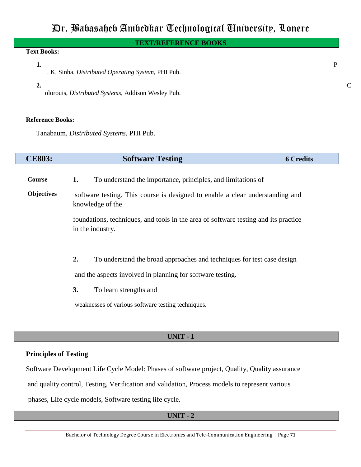# **TEXT/REFERENCE BOOKS**

# **Text Books:**

### **1.** P

- . K. Sinha, *Distributed Operating System*, PHI Pub.
- **2.** C

olorouis, *Distributed Systems*, Addison Wesley Pub.

### **Reference Books:**

Tanabaum, *Distributed Systems*, PHI Pub.

| <b>CE803:</b>     | <b>Software Testing</b>                                                                                 | <b>6</b> Credits |  |
|-------------------|---------------------------------------------------------------------------------------------------------|------------------|--|
| Course            | To understand the importance, principles, and limitations of<br>1.                                      |                  |  |
| <b>Objectives</b> | software testing. This course is designed to enable a clear understanding and<br>knowledge of the       |                  |  |
|                   | foundations, techniques, and tools in the area of software testing and its practice<br>in the industry. |                  |  |
|                   |                                                                                                         |                  |  |
|                   | 2.<br>To understand the broad approaches and techniques for test case design                            |                  |  |
|                   | and the aspects involved in planning for software testing.                                              |                  |  |
|                   | 3.<br>To learn strengths and                                                                            |                  |  |
|                   | weaknesses of various software testing techniques.                                                      |                  |  |
|                   |                                                                                                         |                  |  |

# **UNIT - 1**

# **Principles of Testing**

Software Development Life Cycle Model: Phases of software project, Quality, Quality assurance and quality control, Testing, Verification and validation, Process models to represent various phases, Life cycle models, Software testing life cycle.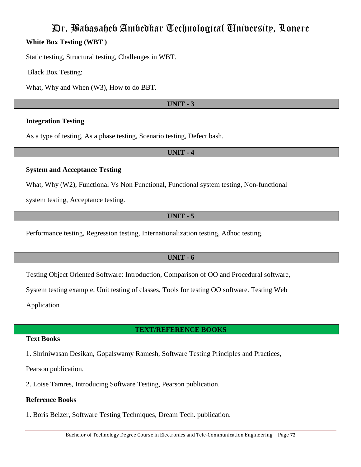# Dr. Babasaheb Ambedkar Technological University, Lonere **White Box Testing (WBT )**

Static testing, Structural testing, Challenges in WBT.

Black Box Testing:

What, Why and When (W3), How to do BBT.

# **UNIT - 3**

# **Integration Testing**

As a type of testing, As a phase testing, Scenario testing, Defect bash.

# **UNIT - 4**

# **System and Acceptance Testing**

What, Why (W2), Functional Vs Non Functional, Functional system testing, Non-functional

system testing, Acceptance testing.

# **UNIT - 5**

Performance testing, Regression testing, Internationalization testing, Adhoc testing.

# **UNIT - 6**

Testing Object Oriented Software: Introduction, Comparison of OO and Procedural software,

System testing example, Unit testing of classes, Tools for testing OO software. Testing Web

Application

# **TEXT/REFERENCE BOOKS**

# **Text Books**

1. Shriniwasan Desikan, Gopalswamy Ramesh, Software Testing Principles and Practices,

Pearson publication.

2. Loise Tamres, Introducing Software Testing, Pearson publication.

# **Reference Books**

1. Boris Beizer, Software Testing Techniques, Dream Tech. publication.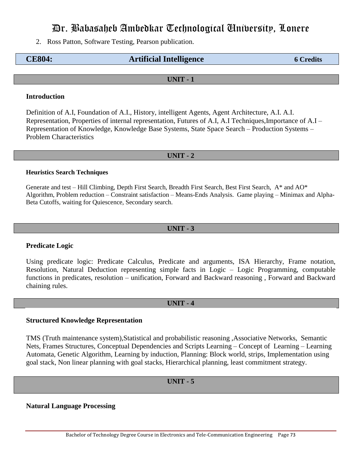# Dr. Babasaheb Ambedkar Technological University, Lonere

2. Ross Patton, Software Testing, Pearson publication.

# **CE804: Artificial Intelligence 6 Credits**

#### **UNIT - 1**

## **Introduction**

Definition of A.I, Foundation of A.I., History, intelligent Agents, Agent Architecture, A.I. A.I. Representation, Properties of internal representation, Futures of A.I, A.I Techniques,Importance of A.I – Representation of Knowledge, Knowledge Base Systems, State Space Search – Production Systems – Problem Characteristics

#### **UNIT - 2**

#### **Heuristics Search Techniques**

Generate and test – Hill Climbing, Depth First Search, Breadth First Search, Best First Search, A\* and AO\* Algorithm, Problem reduction – Constraint satisfaction – Means-Ends Analysis. Game playing – Minimax and Alpha-Beta Cutoffs, waiting for Quiescence, Secondary search.

#### **UNIT - 3**

## **Predicate Logic**

Using predicate logic: Predicate Calculus, Predicate and arguments, ISA Hierarchy, Frame notation, Resolution, Natural Deduction representing simple facts in Logic – Logic Programming, computable functions in predicates, resolution – unification, Forward and Backward reasoning , Forward and Backward chaining rules.

## **UNIT - 4**

#### **Structured Knowledge Representation**

TMS (Truth maintenance system),Statistical and probabilistic reasoning ,Associative Networks, Semantic Nets, Frames Structures, Conceptual Dependencies and Scripts Learning – Concept of Learning – Learning Automata, Genetic Algorithm, Learning by induction, Planning: Block world, strips, Implementation using goal stack, Non linear planning with goal stacks, Hierarchical planning, least commitment strategy.

#### **UNIT - 5**

**Natural Language Processing**